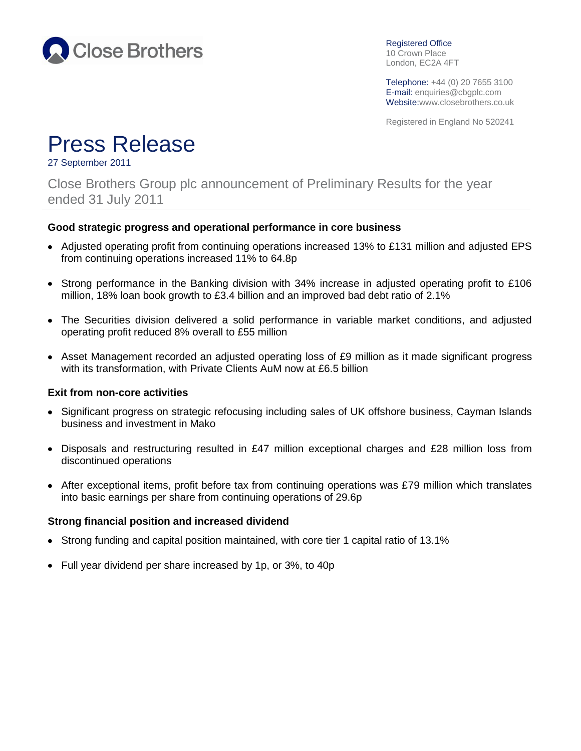

Registered Office 10 Crown Place London, EC2A 4FT

Telephone: +44 (0) 20 7655 3100 E-mail: enquiries@cbgplc.com Website:www.closebrothers.co.uk

Registered in England No 520241

# Press Release

27 September 2011

Close Brothers Group plc announcement of Preliminary Results for the year ended 31 July 2011

#### **Good strategic progress and operational performance in core business**

- Adjusted operating profit from continuing operations increased 13% to £131 million and adjusted EPS from continuing operations increased 11% to 64.8p
- Strong performance in the Banking division with 34% increase in adjusted operating profit to £106 million, 18% loan book growth to £3.4 billion and an improved bad debt ratio of 2.1%
- The Securities division delivered a solid performance in variable market conditions, and adjusted operating profit reduced 8% overall to £55 million
- Asset Management recorded an adjusted operating loss of £9 million as it made significant progress with its transformation, with Private Clients AuM now at £6.5 billion

#### **Exit from non-core activities**

- Significant progress on strategic refocusing including sales of UK offshore business, Cayman Islands business and investment in Mako
- Disposals and restructuring resulted in £47 million exceptional charges and £28 million loss from discontinued operations
- After exceptional items, profit before tax from continuing operations was £79 million which translates into basic earnings per share from continuing operations of 29.6p

#### **Strong financial position and increased dividend**

- Strong funding and capital position maintained, with core tier 1 capital ratio of 13.1%
- Full year dividend per share increased by 1p, or 3%, to 40p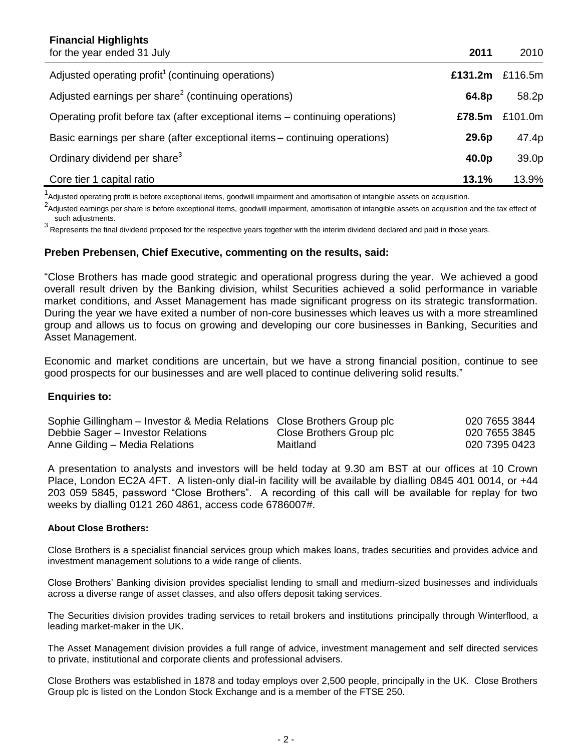| <b>Financial Highlights</b><br>for the year ended 31 July                     | 2011    | 2010    |
|-------------------------------------------------------------------------------|---------|---------|
| Adjusted operating profit <sup>1</sup> (continuing operations)                | £131.2m | £116.5m |
| Adjusted earnings per share <sup>2</sup> (continuing operations)              | 64.8p   | 58.2p   |
| Operating profit before tax (after exceptional items – continuing operations) | £78.5m  | £101.0m |
| Basic earnings per share (after exceptional items - continuing operations)    | 29.6p   | 47.4p   |
| Ordinary dividend per share <sup>3</sup>                                      | 40.0p   | 39.0p   |
| Core tier 1 capital ratio                                                     | 13.1%   | 13.9%   |

<sup>1</sup>Adjusted operating profit is before exceptional items, goodwill impairment and amortisation of intangible assets on acquisition.

 $^2$ Adjusted earnings per share is before exceptional items, goodwill impairment, amortisation of intangible assets on acquisition and the tax effect of such adjustments.

 $^3$  Represents the final dividend proposed for the respective years together with the interim dividend declared and paid in those years.

#### **Preben Prebensen, Chief Executive, commenting on the results, said:**

"Close Brothers has made good strategic and operational progress during the year. We achieved a good overall result driven by the Banking division, whilst Securities achieved a solid performance in variable market conditions, and Asset Management has made significant progress on its strategic transformation. During the year we have exited a number of non-core businesses which leaves us with a more streamlined group and allows us to focus on growing and developing our core businesses in Banking, Securities and Asset Management.

Economic and market conditions are uncertain, but we have a strong financial position, continue to see good prospects for our businesses and are well placed to continue delivering solid results."

#### **Enquiries to:**

| Sophie Gillingham – Investor & Media Relations Close Brothers Group plc |                          | 020 7655 3844 |
|-------------------------------------------------------------------------|--------------------------|---------------|
| Debbie Sager – Investor Relations                                       | Close Brothers Group plc | 020 7655 3845 |
| Anne Gilding - Media Relations                                          | Maitland                 | 020 7395 0423 |

A presentation to analysts and investors will be held today at 9.30 am BST at our offices at 10 Crown Place, London EC2A 4FT. A listen-only dial-in facility will be available by dialling 0845 401 0014, or +44 203 059 5845, password "Close Brothers". A recording of this call will be available for replay for two weeks by dialling 0121 260 4861, access code 6786007#.

#### **About Close Brothers:**

Close Brothers is a specialist financial services group which makes loans, trades securities and provides advice and investment management solutions to a wide range of clients.

Close Brothers' Banking division provides specialist lending to small and medium-sized businesses and individuals across a diverse range of asset classes, and also offers deposit taking services.

The Securities division provides trading services to retail brokers and institutions principally through Winterflood, a leading market-maker in the UK.

The Asset Management division provides a full range of advice, investment management and self directed services to private, institutional and corporate clients and professional advisers.

Close Brothers was established in 1878 and today employs over 2,500 people, principally in the UK. Close Brothers Group plc is listed on the London Stock Exchange and is a member of the FTSE 250.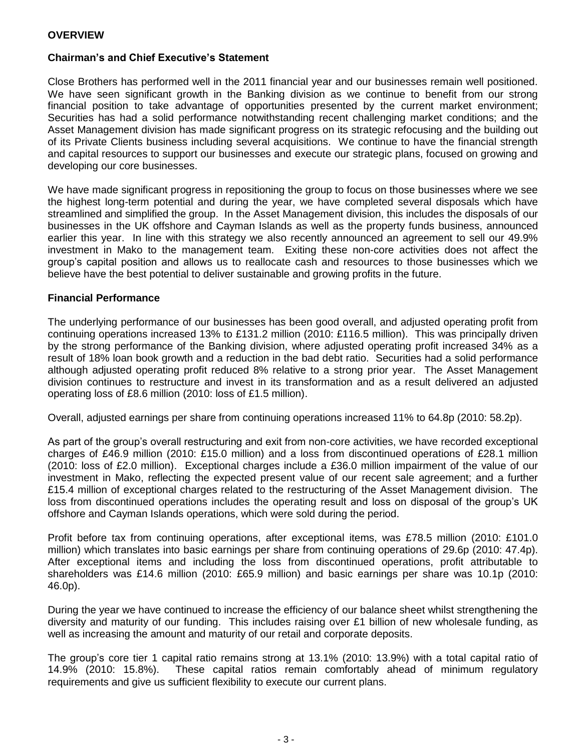#### **Chairman's and Chief Executive's Statement**

Close Brothers has performed well in the 2011 financial year and our businesses remain well positioned. We have seen significant growth in the Banking division as we continue to benefit from our strong financial position to take advantage of opportunities presented by the current market environment; Securities has had a solid performance notwithstanding recent challenging market conditions; and the Asset Management division has made significant progress on its strategic refocusing and the building out of its Private Clients business including several acquisitions. We continue to have the financial strength and capital resources to support our businesses and execute our strategic plans, focused on growing and developing our core businesses.

We have made significant progress in repositioning the group to focus on those businesses where we see the highest long-term potential and during the year, we have completed several disposals which have streamlined and simplified the group. In the Asset Management division, this includes the disposals of our businesses in the UK offshore and Cayman Islands as well as the property funds business, announced earlier this year. In line with this strategy we also recently announced an agreement to sell our 49.9% investment in Mako to the management team. Exiting these non-core activities does not affect the group's capital position and allows us to reallocate cash and resources to those businesses which we believe have the best potential to deliver sustainable and growing profits in the future.

#### **Financial Performance**

The underlying performance of our businesses has been good overall, and adjusted operating profit from continuing operations increased 13% to £131.2 million (2010: £116.5 million). This was principally driven by the strong performance of the Banking division, where adjusted operating profit increased 34% as a result of 18% loan book growth and a reduction in the bad debt ratio. Securities had a solid performance although adjusted operating profit reduced 8% relative to a strong prior year. The Asset Management division continues to restructure and invest in its transformation and as a result delivered an adjusted operating loss of £8.6 million (2010: loss of £1.5 million).

Overall, adjusted earnings per share from continuing operations increased 11% to 64.8p (2010: 58.2p).

As part of the group's overall restructuring and exit from non-core activities, we have recorded exceptional charges of £46.9 million (2010: £15.0 million) and a loss from discontinued operations of £28.1 million (2010: loss of £2.0 million). Exceptional charges include a £36.0 million impairment of the value of our investment in Mako, reflecting the expected present value of our recent sale agreement; and a further £15.4 million of exceptional charges related to the restructuring of the Asset Management division. The loss from discontinued operations includes the operating result and loss on disposal of the group's UK offshore and Cayman Islands operations, which were sold during the period.

Profit before tax from continuing operations, after exceptional items, was £78.5 million (2010: £101.0 million) which translates into basic earnings per share from continuing operations of 29.6p (2010: 47.4p). After exceptional items and including the loss from discontinued operations, profit attributable to shareholders was £14.6 million (2010: £65.9 million) and basic earnings per share was 10.1p (2010: 46.0p).

During the year we have continued to increase the efficiency of our balance sheet whilst strengthening the diversity and maturity of our funding. This includes raising over £1 billion of new wholesale funding, as well as increasing the amount and maturity of our retail and corporate deposits.

The group's core tier 1 capital ratio remains strong at 13.1% (2010: 13.9%) with a total capital ratio of 14.9% (2010: 15.8%). These capital ratios remain comfortably ahead of minimum regulatory requirements and give us sufficient flexibility to execute our current plans.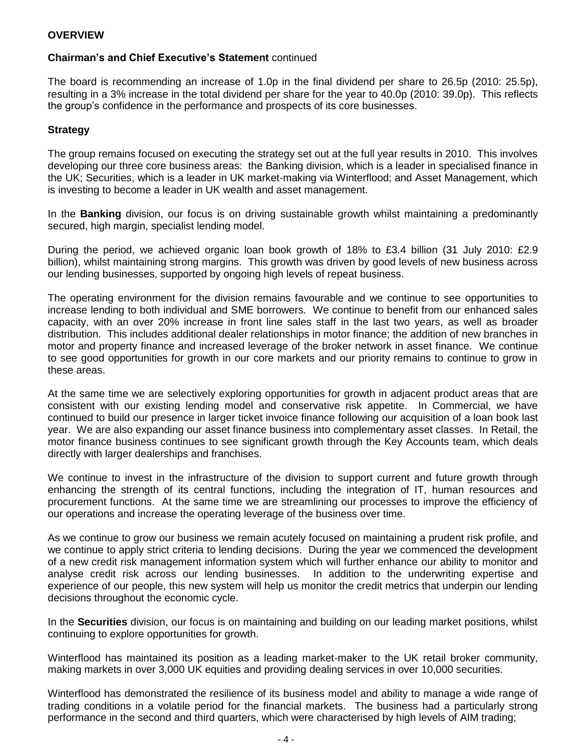#### **Chairman's and Chief Executive's Statement** continued

The board is recommending an increase of 1.0p in the final dividend per share to 26.5p (2010: 25.5p), resulting in a 3% increase in the total dividend per share for the year to 40.0p (2010: 39.0p). This reflects the group's confidence in the performance and prospects of its core businesses.

#### **Strategy**

The group remains focused on executing the strategy set out at the full year results in 2010. This involves developing our three core business areas: the Banking division, which is a leader in specialised finance in the UK; Securities, which is a leader in UK market-making via Winterflood; and Asset Management, which is investing to become a leader in UK wealth and asset management.

In the **Banking** division, our focus is on driving sustainable growth whilst maintaining a predominantly secured, high margin, specialist lending model.

During the period, we achieved organic loan book growth of 18% to £3.4 billion (31 July 2010: £2.9 billion), whilst maintaining strong margins. This growth was driven by good levels of new business across our lending businesses, supported by ongoing high levels of repeat business.

The operating environment for the division remains favourable and we continue to see opportunities to increase lending to both individual and SME borrowers. We continue to benefit from our enhanced sales capacity, with an over 20% increase in front line sales staff in the last two years, as well as broader distribution. This includes additional dealer relationships in motor finance; the addition of new branches in motor and property finance and increased leverage of the broker network in asset finance. We continue to see good opportunities for growth in our core markets and our priority remains to continue to grow in these areas.

At the same time we are selectively exploring opportunities for growth in adjacent product areas that are consistent with our existing lending model and conservative risk appetite. In Commercial, we have continued to build our presence in larger ticket invoice finance following our acquisition of a loan book last year. We are also expanding our asset finance business into complementary asset classes. In Retail, the motor finance business continues to see significant growth through the Key Accounts team, which deals directly with larger dealerships and franchises.

We continue to invest in the infrastructure of the division to support current and future growth through enhancing the strength of its central functions, including the integration of IT, human resources and procurement functions. At the same time we are streamlining our processes to improve the efficiency of our operations and increase the operating leverage of the business over time.

As we continue to grow our business we remain acutely focused on maintaining a prudent risk profile, and we continue to apply strict criteria to lending decisions. During the year we commenced the development of a new credit risk management information system which will further enhance our ability to monitor and analyse credit risk across our lending businesses. In addition to the underwriting expertise and experience of our people, this new system will help us monitor the credit metrics that underpin our lending decisions throughout the economic cycle.

In the **Securities** division, our focus is on maintaining and building on our leading market positions, whilst continuing to explore opportunities for growth.

Winterflood has maintained its position as a leading market-maker to the UK retail broker community, making markets in over 3,000 UK equities and providing dealing services in over 10,000 securities.

Winterflood has demonstrated the resilience of its business model and ability to manage a wide range of trading conditions in a volatile period for the financial markets. The business had a particularly strong performance in the second and third quarters, which were characterised by high levels of AIM trading;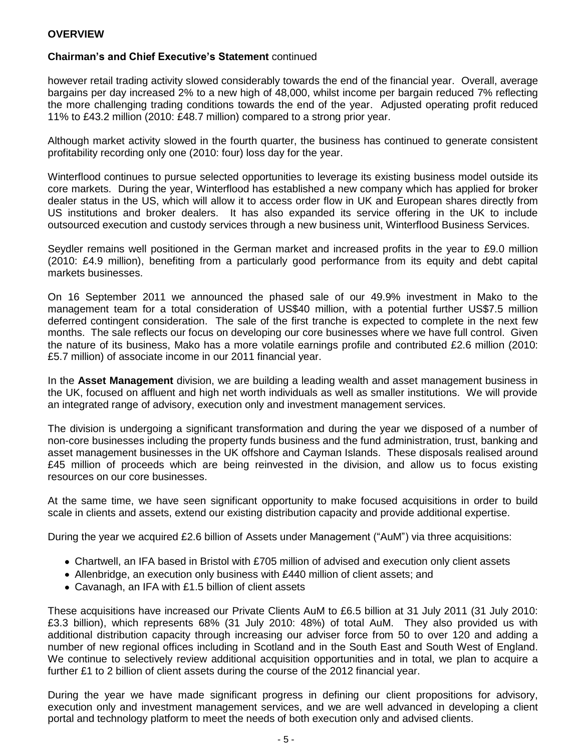#### **Chairman's and Chief Executive's Statement** continued

however retail trading activity slowed considerably towards the end of the financial year. Overall, average bargains per day increased 2% to a new high of 48,000, whilst income per bargain reduced 7% reflecting the more challenging trading conditions towards the end of the year. Adjusted operating profit reduced 11% to £43.2 million (2010: £48.7 million) compared to a strong prior year.

Although market activity slowed in the fourth quarter, the business has continued to generate consistent profitability recording only one (2010: four) loss day for the year.

Winterflood continues to pursue selected opportunities to leverage its existing business model outside its core markets. During the year, Winterflood has established a new company which has applied for broker dealer status in the US, which will allow it to access order flow in UK and European shares directly from US institutions and broker dealers. It has also expanded its service offering in the UK to include outsourced execution and custody services through a new business unit, Winterflood Business Services.

Seydler remains well positioned in the German market and increased profits in the year to £9.0 million (2010: £4.9 million), benefiting from a particularly good performance from its equity and debt capital markets businesses.

On 16 September 2011 we announced the phased sale of our 49.9% investment in Mako to the management team for a total consideration of US\$40 million, with a potential further US\$7.5 million deferred contingent consideration. The sale of the first tranche is expected to complete in the next few months. The sale reflects our focus on developing our core businesses where we have full control. Given the nature of its business, Mako has a more volatile earnings profile and contributed £2.6 million (2010: £5.7 million) of associate income in our 2011 financial year.

In the **Asset Management** division, we are building a leading wealth and asset management business in the UK, focused on affluent and high net worth individuals as well as smaller institutions. We will provide an integrated range of advisory, execution only and investment management services.

The division is undergoing a significant transformation and during the year we disposed of a number of non-core businesses including the property funds business and the fund administration, trust, banking and asset management businesses in the UK offshore and Cayman Islands. These disposals realised around £45 million of proceeds which are being reinvested in the division, and allow us to focus existing resources on our core businesses.

At the same time, we have seen significant opportunity to make focused acquisitions in order to build scale in clients and assets, extend our existing distribution capacity and provide additional expertise.

During the year we acquired £2.6 billion of Assets under Management ("AuM") via three acquisitions:

- Chartwell, an IFA based in Bristol with £705 million of advised and execution only client assets
- Allenbridge, an execution only business with £440 million of client assets; and
- Cavanagh, an IFA with £1.5 billion of client assets

These acquisitions have increased our Private Clients AuM to £6.5 billion at 31 July 2011 (31 July 2010: £3.3 billion), which represents 68% (31 July 2010: 48%) of total AuM. They also provided us with additional distribution capacity through increasing our adviser force from 50 to over 120 and adding a number of new regional offices including in Scotland and in the South East and South West of England. We continue to selectively review additional acquisition opportunities and in total, we plan to acquire a further £1 to 2 billion of client assets during the course of the 2012 financial year.

During the year we have made significant progress in defining our client propositions for advisory, execution only and investment management services, and we are well advanced in developing a client portal and technology platform to meet the needs of both execution only and advised clients.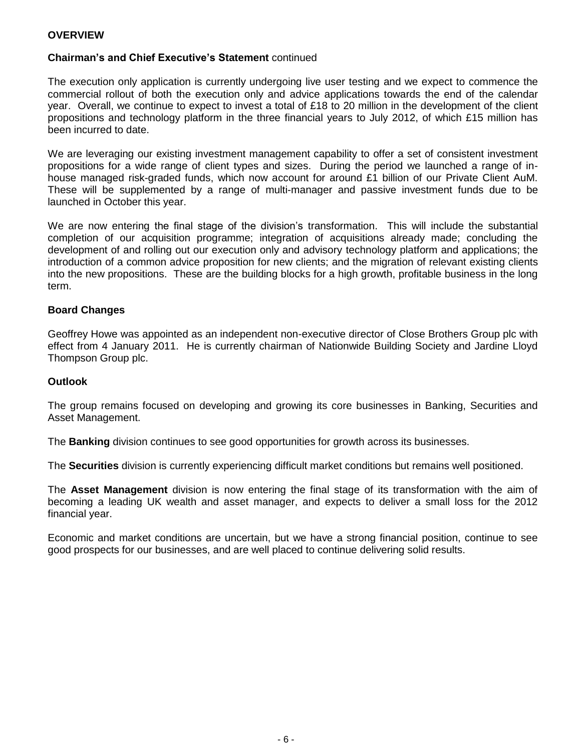#### **Chairman's and Chief Executive's Statement** continued

The execution only application is currently undergoing live user testing and we expect to commence the commercial rollout of both the execution only and advice applications towards the end of the calendar year. Overall, we continue to expect to invest a total of £18 to 20 million in the development of the client propositions and technology platform in the three financial years to July 2012, of which £15 million has been incurred to date.

We are leveraging our existing investment management capability to offer a set of consistent investment propositions for a wide range of client types and sizes. During the period we launched a range of inhouse managed risk-graded funds, which now account for around £1 billion of our Private Client AuM. These will be supplemented by a range of multi-manager and passive investment funds due to be launched in October this year.

We are now entering the final stage of the division's transformation. This will include the substantial completion of our acquisition programme; integration of acquisitions already made; concluding the development of and rolling out our execution only and advisory technology platform and applications; the introduction of a common advice proposition for new clients; and the migration of relevant existing clients into the new propositions. These are the building blocks for a high growth, profitable business in the long term.

#### **Board Changes**

Geoffrey Howe was appointed as an independent non-executive director of Close Brothers Group plc with effect from 4 January 2011. He is currently chairman of Nationwide Building Society and Jardine Lloyd Thompson Group plc.

#### **Outlook**

The group remains focused on developing and growing its core businesses in Banking, Securities and Asset Management.

The **Banking** division continues to see good opportunities for growth across its businesses.

The **Securities** division is currently experiencing difficult market conditions but remains well positioned.

The **Asset Management** division is now entering the final stage of its transformation with the aim of becoming a leading UK wealth and asset manager, and expects to deliver a small loss for the 2012 financial year.

Economic and market conditions are uncertain, but we have a strong financial position, continue to see good prospects for our businesses, and are well placed to continue delivering solid results.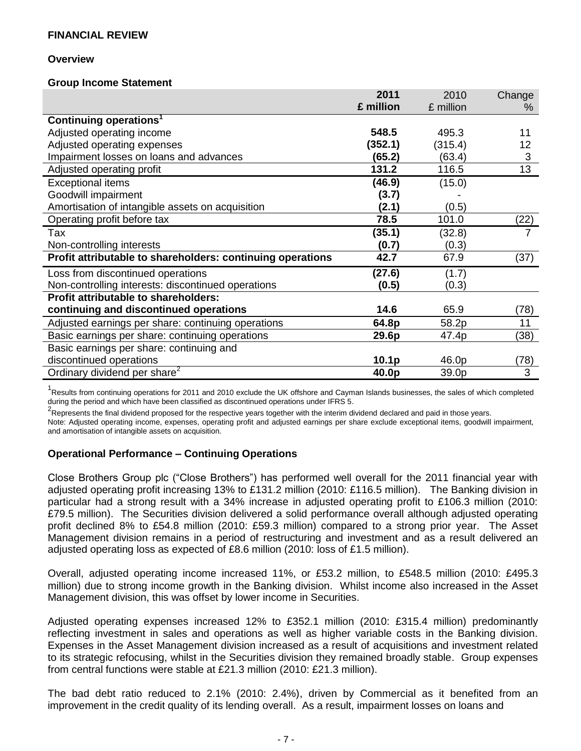#### **Overview**

#### **Group Income Statement**

|                                                            | 2011              | 2010      | Change                    |
|------------------------------------------------------------|-------------------|-----------|---------------------------|
|                                                            | £ million         | £ million | %                         |
| Continuing operations <sup>1</sup>                         |                   |           |                           |
| Adjusted operating income                                  | 548.5             | 495.3     | 11                        |
| Adjusted operating expenses                                | (352.1)           | (315.4)   | 12                        |
| Impairment losses on loans and advances                    | (65.2)            | (63.4)    | $\ensuremath{\mathsf{3}}$ |
| Adjusted operating profit                                  | 131.2             | 116.5     | $\overline{13}$           |
| <b>Exceptional items</b>                                   | (46.9)            | (15.0)    |                           |
| Goodwill impairment                                        | (3.7)             |           |                           |
| Amortisation of intangible assets on acquisition           | (2.1)             | (0.5)     |                           |
| Operating profit before tax                                | 78.5              | 101.0     | (22)                      |
| Tax                                                        | (35.1)            | (32.8)    |                           |
| Non-controlling interests                                  | (0.7)             | (0.3)     |                           |
| Profit attributable to shareholders: continuing operations | 42.7              | 67.9      | (37)                      |
| Loss from discontinued operations                          | (27.6)            | (1.7)     |                           |
| Non-controlling interests: discontinued operations         | (0.5)             | (0.3)     |                           |
| <b>Profit attributable to shareholders:</b>                |                   |           |                           |
| continuing and discontinued operations                     | 14.6              | 65.9      | (78)                      |
| Adjusted earnings per share: continuing operations         | 64.8p             | 58.2p     | 11                        |
| Basic earnings per share: continuing operations            | 29.6p             | 47.4p     | (38)                      |
| Basic earnings per share: continuing and                   |                   |           |                           |
| discontinued operations                                    | 10.1 <sub>p</sub> | 46.0p     | (78)                      |
| Ordinary dividend per share <sup>2</sup>                   | 40.0p             | 39.0p     | 3                         |

<sup>1</sup>Results from continuing operations for 2011 and 2010 exclude the UK offshore and Cayman Islands businesses, the sales of which completed during the period and which have been classified as discontinued operations under IFRS 5.

<sup>2</sup>Represents the final dividend proposed for the respective years together with the interim dividend declared and paid in those years. Note: Adjusted operating income, expenses, operating profit and adjusted earnings per share exclude exceptional items, goodwill impairment,

and amortisation of intangible assets on acquisition.

# **Operational Performance – Continuing Operations**

Close Brothers Group plc ("Close Brothers") has performed well overall for the 2011 financial year with adjusted operating profit increasing 13% to £131.2 million (2010: £116.5 million). The Banking division in particular had a strong result with a 34% increase in adjusted operating profit to £106.3 million (2010: £79.5 million). The Securities division delivered a solid performance overall although adjusted operating profit declined 8% to £54.8 million (2010: £59.3 million) compared to a strong prior year. The Asset Management division remains in a period of restructuring and investment and as a result delivered an adjusted operating loss as expected of £8.6 million (2010: loss of £1.5 million).

Overall, adjusted operating income increased 11%, or £53.2 million, to £548.5 million (2010: £495.3 million) due to strong income growth in the Banking division. Whilst income also increased in the Asset Management division, this was offset by lower income in Securities.

Adjusted operating expenses increased 12% to £352.1 million (2010: £315.4 million) predominantly reflecting investment in sales and operations as well as higher variable costs in the Banking division. Expenses in the Asset Management division increased as a result of acquisitions and investment related to its strategic refocusing, whilst in the Securities division they remained broadly stable. Group expenses from central functions were stable at £21.3 million (2010: £21.3 million).

The bad debt ratio reduced to 2.1% (2010: 2.4%), driven by Commercial as it benefited from an improvement in the credit quality of its lending overall. As a result, impairment losses on loans and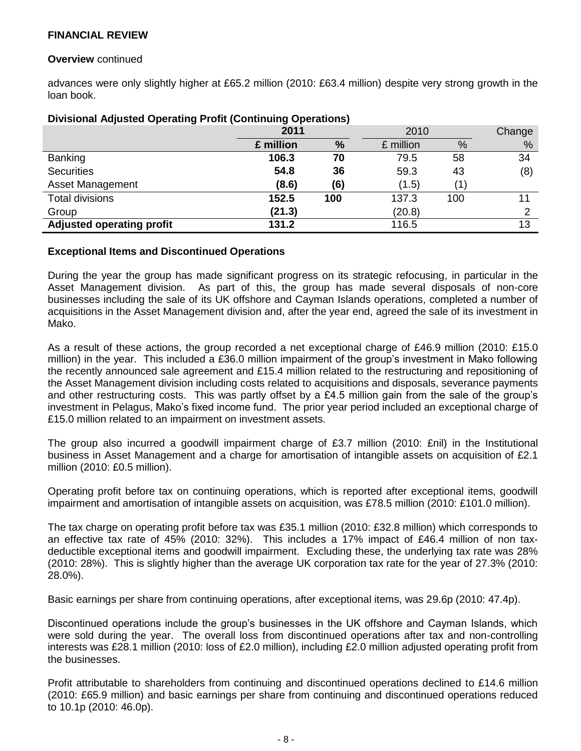#### **Overview** continued

advances were only slightly higher at £65.2 million (2010: £63.4 million) despite very strong growth in the loan book.

| <b>Pricional Adjusted Sperating From (Sentimanig Sperations)</b> |           |     |           |     |        |
|------------------------------------------------------------------|-----------|-----|-----------|-----|--------|
|                                                                  | 2011      |     | 2010      |     | Change |
|                                                                  | £ million | %   | £ million | %   | %      |
| <b>Banking</b>                                                   | 106.3     | 70  | 79.5      | 58  | 34     |
| <b>Securities</b>                                                | 54.8      | 36  | 59.3      | 43  | (8)    |
| Asset Management                                                 | (8.6)     | (6) | (1.5)     | (1` |        |
| <b>Total divisions</b>                                           | 152.5     | 100 | 137.3     | 100 | 11     |
| Group                                                            | (21.3)    |     | (20.8)    |     | 2      |
| <b>Adjusted operating profit</b>                                 | 131.2     |     | 116.5     |     | 13     |

#### **Divisional Adjusted Operating Profit (Continuing Operations)**

#### **Exceptional Items and Discontinued Operations**

During the year the group has made significant progress on its strategic refocusing, in particular in the Asset Management division. As part of this, the group has made several disposals of non-core businesses including the sale of its UK offshore and Cayman Islands operations, completed a number of acquisitions in the Asset Management division and, after the year end, agreed the sale of its investment in Mako.

As a result of these actions, the group recorded a net exceptional charge of £46.9 million (2010: £15.0 million) in the year. This included a £36.0 million impairment of the group's investment in Mako following the recently announced sale agreement and £15.4 million related to the restructuring and repositioning of the Asset Management division including costs related to acquisitions and disposals, severance payments and other restructuring costs. This was partly offset by a £4.5 million gain from the sale of the group's investment in Pelagus, Mako's fixed income fund. The prior year period included an exceptional charge of £15.0 million related to an impairment on investment assets.

The group also incurred a goodwill impairment charge of £3.7 million (2010: £nil) in the Institutional business in Asset Management and a charge for amortisation of intangible assets on acquisition of £2.1 million (2010: £0.5 million).

Operating profit before tax on continuing operations, which is reported after exceptional items, goodwill impairment and amortisation of intangible assets on acquisition, was £78.5 million (2010: £101.0 million).

The tax charge on operating profit before tax was £35.1 million (2010: £32.8 million) which corresponds to an effective tax rate of 45% (2010: 32%). This includes a 17% impact of £46.4 million of non taxdeductible exceptional items and goodwill impairment. Excluding these, the underlying tax rate was 28% (2010: 28%). This is slightly higher than the average UK corporation tax rate for the year of 27.3% (2010: 28.0%).

Basic earnings per share from continuing operations, after exceptional items, was 29.6p (2010: 47.4p).

Discontinued operations include the group's businesses in the UK offshore and Cayman Islands, which were sold during the year. The overall loss from discontinued operations after tax and non-controlling interests was £28.1 million (2010: loss of £2.0 million), including £2.0 million adjusted operating profit from the businesses.

Profit attributable to shareholders from continuing and discontinued operations declined to £14.6 million (2010: £65.9 million) and basic earnings per share from continuing and discontinued operations reduced to 10.1p (2010: 46.0p).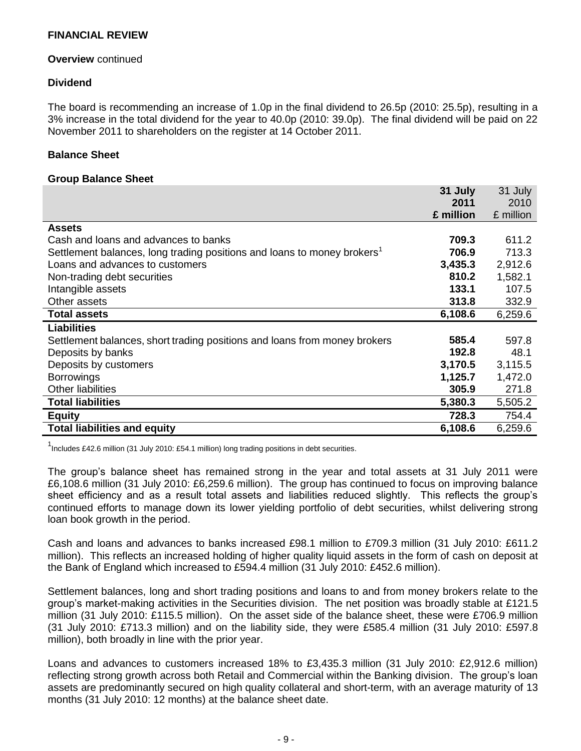#### **Overview** continued

#### **Dividend**

The board is recommending an increase of 1.0p in the final dividend to 26.5p (2010: 25.5p), resulting in a 3% increase in the total dividend for the year to 40.0p (2010: 39.0p). The final dividend will be paid on 22 November 2011 to shareholders on the register at 14 October 2011.

#### **Balance Sheet**

#### **Group Balance Sheet**

|                                                                                     | 31 July   | 31 July   |
|-------------------------------------------------------------------------------------|-----------|-----------|
|                                                                                     | 2011      | 2010      |
|                                                                                     | £ million | £ million |
| <b>Assets</b>                                                                       |           |           |
| Cash and loans and advances to banks                                                | 709.3     | 611.2     |
| Settlement balances, long trading positions and loans to money brokers <sup>1</sup> | 706.9     | 713.3     |
| Loans and advances to customers                                                     | 3,435.3   | 2,912.6   |
| Non-trading debt securities                                                         | 810.2     | 1,582.1   |
| Intangible assets                                                                   | 133.1     | 107.5     |
| Other assets                                                                        | 313.8     | 332.9     |
| <b>Total assets</b>                                                                 | 6,108.6   | 6,259.6   |
| <b>Liabilities</b>                                                                  |           |           |
| Settlement balances, short trading positions and loans from money brokers           | 585.4     | 597.8     |
| Deposits by banks                                                                   | 192.8     | 48.1      |
| Deposits by customers                                                               | 3,170.5   | 3,115.5   |
| <b>Borrowings</b>                                                                   | 1,125.7   | 1,472.0   |
| Other liabilities                                                                   | 305.9     | 271.8     |
| <b>Total liabilities</b>                                                            | 5,380.3   | 5,505.2   |
| <b>Equity</b>                                                                       | 728.3     | 754.4     |
| <b>Total liabilities and equity</b>                                                 | 6,108.6   | 6,259.6   |

<sup>1</sup>Includes £42.6 million (31 July 2010: £54.1 million) long trading positions in debt securities.

The group's balance sheet has remained strong in the year and total assets at 31 July 2011 were £6,108.6 million (31 July 2010: £6,259.6 million). The group has continued to focus on improving balance sheet efficiency and as a result total assets and liabilities reduced slightly. This reflects the group's continued efforts to manage down its lower yielding portfolio of debt securities, whilst delivering strong loan book growth in the period.

Cash and loans and advances to banks increased £98.1 million to £709.3 million (31 July 2010: £611.2 million). This reflects an increased holding of higher quality liquid assets in the form of cash on deposit at the Bank of England which increased to £594.4 million (31 July 2010: £452.6 million).

Settlement balances, long and short trading positions and loans to and from money brokers relate to the group's market-making activities in the Securities division. The net position was broadly stable at £121.5 million (31 July 2010: £115.5 million). On the asset side of the balance sheet, these were £706.9 million (31 July 2010: £713.3 million) and on the liability side, they were £585.4 million (31 July 2010: £597.8 million), both broadly in line with the prior year.

Loans and advances to customers increased 18% to £3,435.3 million (31 July 2010: £2,912.6 million) reflecting strong growth across both Retail and Commercial within the Banking division. The group's loan assets are predominantly secured on high quality collateral and short-term, with an average maturity of 13 months (31 July 2010: 12 months) at the balance sheet date.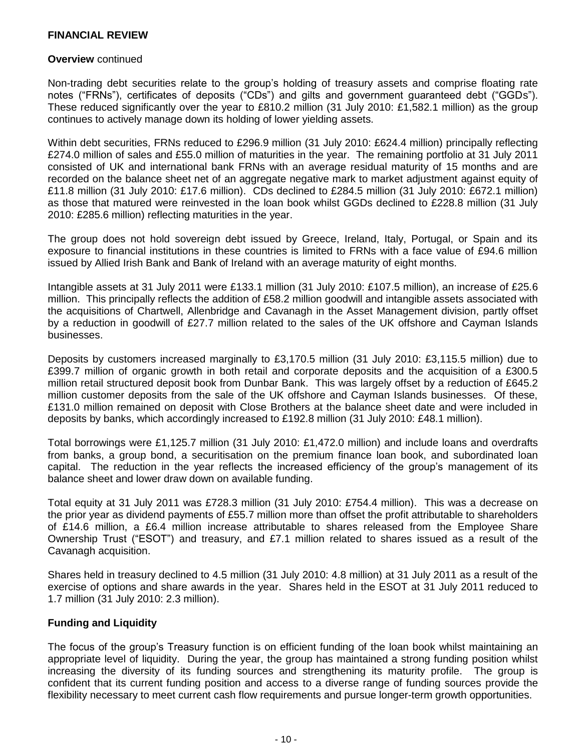#### **Overview** continued

Non-trading debt securities relate to the group's holding of treasury assets and comprise floating rate notes ("FRNs"), certificates of deposits ("CDs") and gilts and government guaranteed debt ("GGDs"). These reduced significantly over the year to £810.2 million (31 July 2010: £1,582.1 million) as the group continues to actively manage down its holding of lower yielding assets.

Within debt securities, FRNs reduced to £296.9 million (31 July 2010: £624.4 million) principally reflecting £274.0 million of sales and £55.0 million of maturities in the year. The remaining portfolio at 31 July 2011 consisted of UK and international bank FRNs with an average residual maturity of 15 months and are recorded on the balance sheet net of an aggregate negative mark to market adjustment against equity of £11.8 million (31 July 2010: £17.6 million). CDs declined to £284.5 million (31 July 2010: £672.1 million) as those that matured were reinvested in the loan book whilst GGDs declined to £228.8 million (31 July 2010: £285.6 million) reflecting maturities in the year.

The group does not hold sovereign debt issued by Greece, Ireland, Italy, Portugal, or Spain and its exposure to financial institutions in these countries is limited to FRNs with a face value of £94.6 million issued by Allied Irish Bank and Bank of Ireland with an average maturity of eight months.

Intangible assets at 31 July 2011 were £133.1 million (31 July 2010: £107.5 million), an increase of £25.6 million. This principally reflects the addition of £58.2 million goodwill and intangible assets associated with the acquisitions of Chartwell, Allenbridge and Cavanagh in the Asset Management division, partly offset by a reduction in goodwill of £27.7 million related to the sales of the UK offshore and Cayman Islands businesses.

Deposits by customers increased marginally to £3,170.5 million (31 July 2010: £3,115.5 million) due to £399.7 million of organic growth in both retail and corporate deposits and the acquisition of a £300.5 million retail structured deposit book from Dunbar Bank. This was largely offset by a reduction of £645.2 million customer deposits from the sale of the UK offshore and Cayman Islands businesses. Of these, £131.0 million remained on deposit with Close Brothers at the balance sheet date and were included in deposits by banks, which accordingly increased to £192.8 million (31 July 2010: £48.1 million).

Total borrowings were £1,125.7 million (31 July 2010: £1,472.0 million) and include loans and overdrafts from banks, a group bond, a securitisation on the premium finance loan book, and subordinated loan capital. The reduction in the year reflects the increased efficiency of the group's management of its balance sheet and lower draw down on available funding.

Total equity at 31 July 2011 was £728.3 million (31 July 2010: £754.4 million). This was a decrease on the prior year as dividend payments of £55.7 million more than offset the profit attributable to shareholders of £14.6 million, a £6.4 million increase attributable to shares released from the Employee Share Ownership Trust ("ESOT") and treasury, and £7.1 million related to shares issued as a result of the Cavanagh acquisition.

Shares held in treasury declined to 4.5 million (31 July 2010: 4.8 million) at 31 July 2011 as a result of the exercise of options and share awards in the year. Shares held in the ESOT at 31 July 2011 reduced to 1.7 million (31 July 2010: 2.3 million).

#### **Funding and Liquidity**

The focus of the group's Treasury function is on efficient funding of the loan book whilst maintaining an appropriate level of liquidity. During the year, the group has maintained a strong funding position whilst increasing the diversity of its funding sources and strengthening its maturity profile. The group is confident that its current funding position and access to a diverse range of funding sources provide the flexibility necessary to meet current cash flow requirements and pursue longer-term growth opportunities.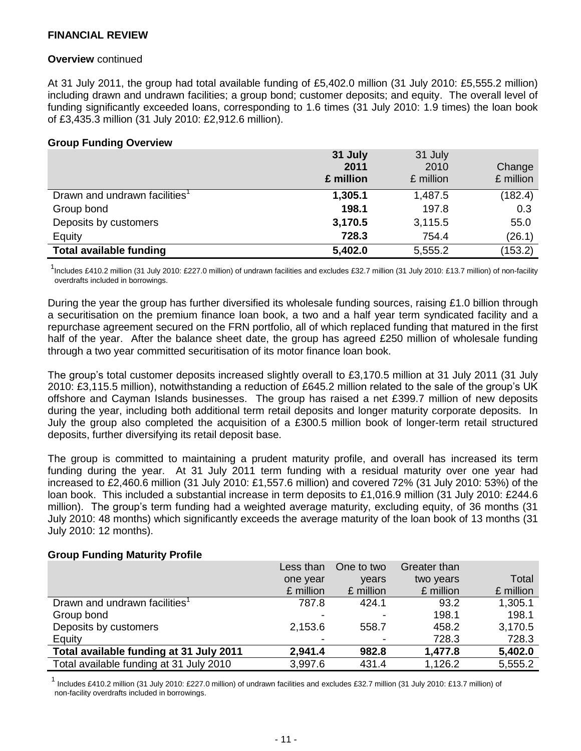#### **Overview** continued

At 31 July 2011, the group had total available funding of £5,402.0 million (31 July 2010: £5,555.2 million) including drawn and undrawn facilities; a group bond; customer deposits; and equity. The overall level of funding significantly exceeded loans, corresponding to 1.6 times (31 July 2010: 1.9 times) the loan book of £3,435.3 million (31 July 2010: £2,912.6 million).

#### **Group Funding Overview**

|                                           | 31 July<br>2011<br>£ million | 31 July<br>2010<br>£ million | Change<br>£ million |
|-------------------------------------------|------------------------------|------------------------------|---------------------|
| Drawn and undrawn facilities <sup>1</sup> | 1,305.1                      | 1,487.5                      | (182.4)             |
| Group bond                                | 198.1                        | 197.8                        | 0.3                 |
| Deposits by customers                     | 3,170.5                      | 3,115.5                      | 55.0                |
| Equity                                    | 728.3                        | 754.4                        | (26.1)              |
| <b>Total available funding</b>            | 5,402.0                      | 5,555.2                      | (153.2)             |

<sup>1</sup>Includes £410.2 million (31 July 2010: £227.0 million) of undrawn facilities and excludes £32.7 million (31 July 2010: £13.7 million) of non-facility overdrafts included in borrowings.

During the year the group has further diversified its wholesale funding sources, raising £1.0 billion through a securitisation on the premium finance loan book, a two and a half year term syndicated facility and a repurchase agreement secured on the FRN portfolio, all of which replaced funding that matured in the first half of the year. After the balance sheet date, the group has agreed £250 million of wholesale funding through a two year committed securitisation of its motor finance loan book.

The group's total customer deposits increased slightly overall to £3,170.5 million at 31 July 2011 (31 July 2010: £3,115.5 million), notwithstanding a reduction of £645.2 million related to the sale of the group's UK offshore and Cayman Islands businesses. The group has raised a net £399.7 million of new deposits during the year, including both additional term retail deposits and longer maturity corporate deposits. In July the group also completed the acquisition of a £300.5 million book of longer-term retail structured deposits, further diversifying its retail deposit base.

The group is committed to maintaining a prudent maturity profile, and overall has increased its term funding during the year. At 31 July 2011 term funding with a residual maturity over one year had increased to £2,460.6 million (31 July 2010: £1,557.6 million) and covered 72% (31 July 2010: 53%) of the loan book. This included a substantial increase in term deposits to £1,016.9 million (31 July 2010: £244.6 million). The group's term funding had a weighted average maturity, excluding equity, of 36 months (31 July 2010: 48 months) which significantly exceeds the average maturity of the loan book of 13 months (31 July 2010: 12 months).

#### **Group Funding Maturity Profile**

|                                           | Less than | One to two | Greater than |           |
|-------------------------------------------|-----------|------------|--------------|-----------|
|                                           | one year  | vears      | two years    | Total     |
|                                           | £ million | £ million  | £ million    | £ million |
| Drawn and undrawn facilities <sup>1</sup> | 787.8     | 424.1      | 93.2         | 1,305.1   |
| Group bond                                |           |            | 198.1        | 198.1     |
| Deposits by customers                     | 2,153.6   | 558.7      | 458.2        | 3,170.5   |
| Equity                                    |           |            | 728.3        | 728.3     |
| Total available funding at 31 July 2011   | 2,941.4   | 982.8      | 1,477.8      | 5,402.0   |
| Total available funding at 31 July 2010   | 3,997.6   | 431.4      | 1,126.2      | 5,555.2   |

 1 Includes £410.2 million (31 July 2010: £227.0 million) of undrawn facilities and excludes £32.7 million (31 July 2010: £13.7 million) of non-facility overdrafts included in borrowings.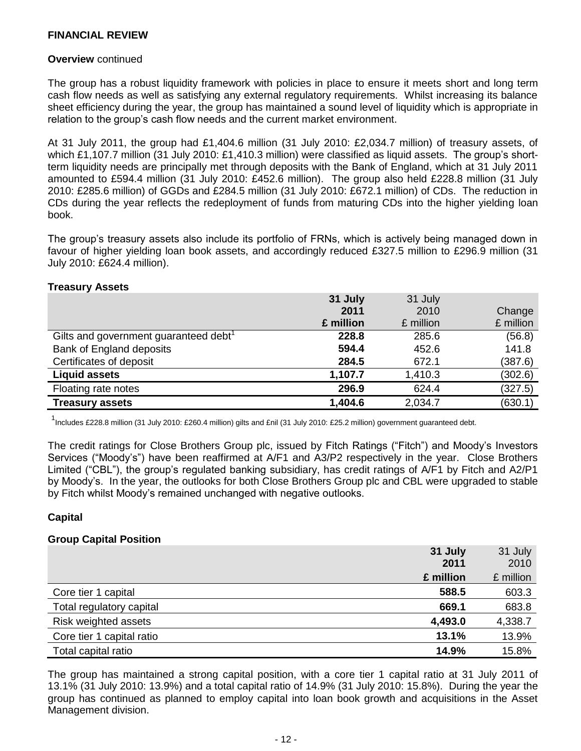#### **Overview** continued

The group has a robust liquidity framework with policies in place to ensure it meets short and long term cash flow needs as well as satisfying any external regulatory requirements. Whilst increasing its balance sheet efficiency during the year, the group has maintained a sound level of liquidity which is appropriate in relation to the group's cash flow needs and the current market environment.

At 31 July 2011, the group had £1,404.6 million (31 July 2010: £2,034.7 million) of treasury assets, of which £1,107.7 million (31 July 2010: £1,410.3 million) were classified as liquid assets. The group's shortterm liquidity needs are principally met through deposits with the Bank of England, which at 31 July 2011 amounted to £594.4 million (31 July 2010: £452.6 million). The group also held £228.8 million (31 July 2010: £285.6 million) of GGDs and £284.5 million (31 July 2010: £672.1 million) of CDs. The reduction in CDs during the year reflects the redeployment of funds from maturing CDs into the higher yielding loan book.

The group's treasury assets also include its portfolio of FRNs, which is actively being managed down in favour of higher yielding loan book assets, and accordingly reduced £327.5 million to £296.9 million (31 July 2010: £624.4 million).

#### **Treasury Assets**

|                                                   | 31 July   | 31 July   |           |
|---------------------------------------------------|-----------|-----------|-----------|
|                                                   | 2011      | 2010      | Change    |
|                                                   | £ million | £ million | £ million |
| Gilts and government guaranteed debt <sup>1</sup> | 228.8     | 285.6     | (56.8)    |
| <b>Bank of England deposits</b>                   | 594.4     | 452.6     | 141.8     |
| Certificates of deposit                           | 284.5     | 672.1     | (387.6)   |
| <b>Liquid assets</b>                              | 1,107.7   | 1,410.3   | (302.6)   |
| Floating rate notes                               | 296.9     | 624.4     | (327.5)   |
| <b>Treasury assets</b>                            | 1,404.6   | 2,034.7   | (630.1)   |

1 Includes £228.8 million (31 July 2010: £260.4 million) gilts and £nil (31 July 2010: £25.2 million) government guaranteed debt.

The credit ratings for Close Brothers Group plc, issued by Fitch Ratings ("Fitch") and Moody's Investors Services ("Moody's") have been reaffirmed at A/F1 and A3/P2 respectively in the year. Close Brothers Limited ("CBL"), the group's regulated banking subsidiary, has credit ratings of A/F1 by Fitch and A2/P1 by Moody's. In the year, the outlooks for both Close Brothers Group plc and CBL were upgraded to stable by Fitch whilst Moody's remained unchanged with negative outlooks.

#### **Capital**

#### **Group Capital Position**

|                           | 31 July<br>2011 | 31 July<br>2010 |
|---------------------------|-----------------|-----------------|
|                           | £ million       | £ million       |
| Core tier 1 capital       | 588.5           | 603.3           |
| Total regulatory capital  | 669.1           | 683.8           |
| Risk weighted assets      | 4,493.0         | 4,338.7         |
| Core tier 1 capital ratio | 13.1%           | 13.9%           |
| Total capital ratio       | 14.9%           | 15.8%           |

The group has maintained a strong capital position, with a core tier 1 capital ratio at 31 July 2011 of 13.1% (31 July 2010: 13.9%) and a total capital ratio of 14.9% (31 July 2010: 15.8%). During the year the group has continued as planned to employ capital into loan book growth and acquisitions in the Asset Management division.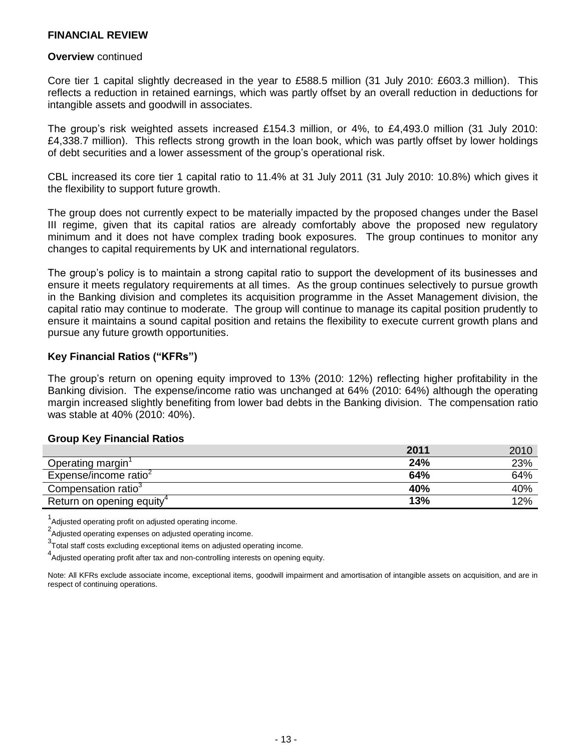#### **Overview** continued

Core tier 1 capital slightly decreased in the year to £588.5 million (31 July 2010: £603.3 million). This reflects a reduction in retained earnings, which was partly offset by an overall reduction in deductions for intangible assets and goodwill in associates.

The group's risk weighted assets increased £154.3 million, or 4%, to £4,493.0 million (31 July 2010: £4,338.7 million). This reflects strong growth in the loan book, which was partly offset by lower holdings of debt securities and a lower assessment of the group's operational risk.

CBL increased its core tier 1 capital ratio to 11.4% at 31 July 2011 (31 July 2010: 10.8%) which gives it the flexibility to support future growth.

The group does not currently expect to be materially impacted by the proposed changes under the Basel III regime, given that its capital ratios are already comfortably above the proposed new regulatory minimum and it does not have complex trading book exposures. The group continues to monitor any changes to capital requirements by UK and international regulators.

The group's policy is to maintain a strong capital ratio to support the development of its businesses and ensure it meets regulatory requirements at all times. As the group continues selectively to pursue growth in the Banking division and completes its acquisition programme in the Asset Management division, the capital ratio may continue to moderate. The group will continue to manage its capital position prudently to ensure it maintains a sound capital position and retains the flexibility to execute current growth plans and pursue any future growth opportunities.

#### **Key Financial Ratios ("KFRs")**

The group's return on opening equity improved to 13% (2010: 12%) reflecting higher profitability in the Banking division. The expense/income ratio was unchanged at 64% (2010: 64%) although the operating margin increased slightly benefiting from lower bad debts in the Banking division. The compensation ratio was stable at 40% (2010: 40%).

#### **Group Key Financial Ratios**

|                                       | 2011 | 2010 |
|---------------------------------------|------|------|
| Operating margin                      | 24%  | 23%  |
| Expense/income ratio <sup>2</sup>     | 64%  | 64%  |
| Compensation ratio <sup>3</sup>       | 40%  | 40%  |
| Return on opening equity <sup>4</sup> | 13%  | 12%  |

<sup>1</sup>Adjusted operating profit on adjusted operating income.

<sup>2</sup>Adjusted operating expenses on adjusted operating income.

 $3$ Total staff costs excluding exceptional items on adjusted operating income.

4<br>Adjusted operating profit after tax and non-controlling interests on opening equity.

Note: All KFRs exclude associate income, exceptional items, goodwill impairment and amortisation of intangible assets on acquisition, and are in respect of continuing operations.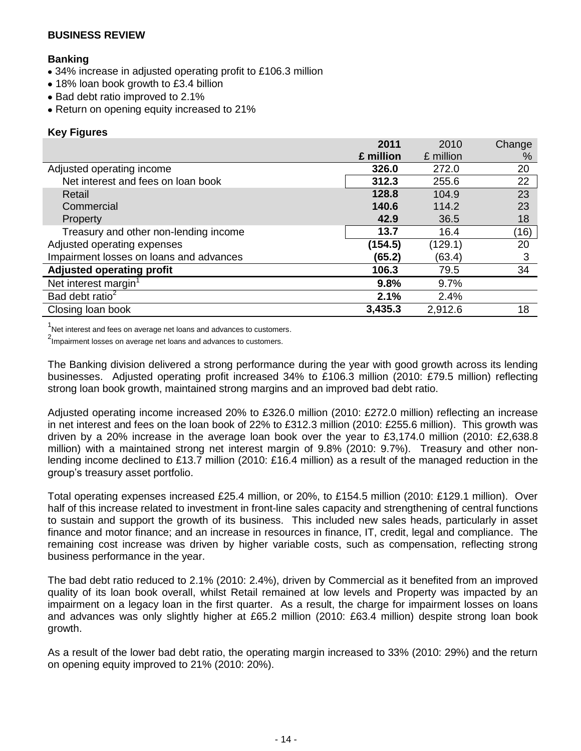#### **Banking**

- 34% increase in adjusted operating profit to £106.3 million
- 18% loan book growth to £3.4 billion
- Bad debt ratio improved to 2.1%
- Return on opening equity increased to 21%

#### **Key Figures**

|                                         | 2011      | 2010      | Change |
|-----------------------------------------|-----------|-----------|--------|
|                                         | £ million | £ million | $\%$   |
| Adjusted operating income               | 326.0     | 272.0     | 20     |
| Net interest and fees on loan book      | 312.3     | 255.6     | 22     |
| Retail                                  | 128.8     | 104.9     | 23     |
| Commercial                              | 140.6     | 114.2     | 23     |
| <b>Property</b>                         | 42.9      | 36.5      | 18     |
| Treasury and other non-lending income   | 13.7      | 16.4      | (16)   |
| Adjusted operating expenses             | (154.5)   | (129.1)   | 20     |
| Impairment losses on loans and advances | (65.2)    | (63.4)    | 3      |
| <b>Adjusted operating profit</b>        | 106.3     | 79.5      | 34     |
| Net interest margin <sup>1</sup>        | 9.8%      | 9.7%      |        |
| Bad debt ratio <sup>2</sup>             | 2.1%      | 2.4%      |        |
| Closing loan book                       | 3,435.3   | 2,912.6   | 18     |

 $1$ Net interest and fees on average net loans and advances to customers.

<sup>2</sup>Impairment losses on average net loans and advances to customers.

The Banking division delivered a strong performance during the year with good growth across its lending businesses. Adjusted operating profit increased 34% to £106.3 million (2010: £79.5 million) reflecting strong loan book growth, maintained strong margins and an improved bad debt ratio.

Adjusted operating income increased 20% to £326.0 million (2010: £272.0 million) reflecting an increase in net interest and fees on the loan book of 22% to £312.3 million (2010: £255.6 million). This growth was driven by a 20% increase in the average loan book over the year to £3,174.0 million (2010: £2,638.8 million) with a maintained strong net interest margin of 9.8% (2010: 9.7%). Treasury and other nonlending income declined to £13.7 million (2010: £16.4 million) as a result of the managed reduction in the group's treasury asset portfolio.

Total operating expenses increased £25.4 million, or 20%, to £154.5 million (2010: £129.1 million). Over half of this increase related to investment in front-line sales capacity and strengthening of central functions to sustain and support the growth of its business. This included new sales heads, particularly in asset finance and motor finance; and an increase in resources in finance, IT, credit, legal and compliance. The remaining cost increase was driven by higher variable costs, such as compensation, reflecting strong business performance in the year.

The bad debt ratio reduced to 2.1% (2010: 2.4%), driven by Commercial as it benefited from an improved quality of its loan book overall, whilst Retail remained at low levels and Property was impacted by an impairment on a legacy loan in the first quarter. As a result, the charge for impairment losses on loans and advances was only slightly higher at £65.2 million (2010: £63.4 million) despite strong loan book growth.

As a result of the lower bad debt ratio, the operating margin increased to 33% (2010: 29%) and the return on opening equity improved to 21% (2010: 20%).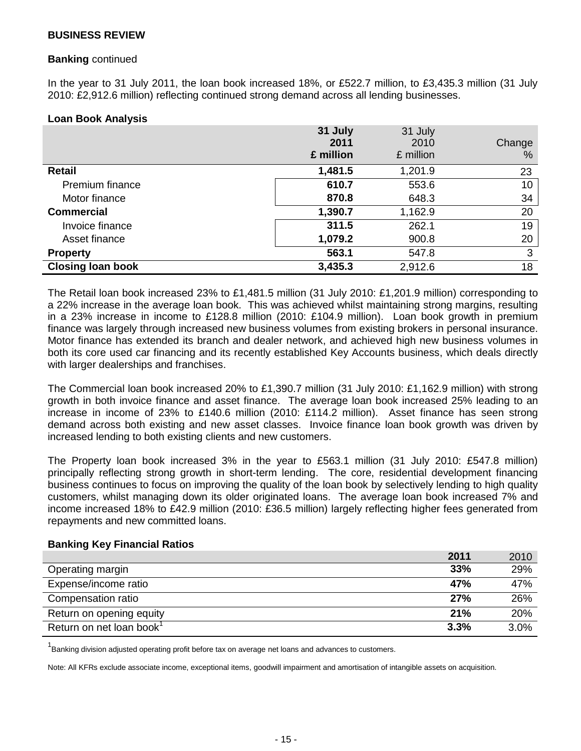#### **Banking** continued

In the year to 31 July 2011, the loan book increased 18%, or £522.7 million, to £3,435.3 million (31 July 2010: £2,912.6 million) reflecting continued strong demand across all lending businesses.

#### **Loan Book Analysis**

|                          | 31 July<br>2011<br>£ million | 31 July<br>2010<br>£ million | Change<br>% |
|--------------------------|------------------------------|------------------------------|-------------|
| <b>Retail</b>            | 1,481.5                      | 1,201.9                      | 23          |
| <b>Premium finance</b>   | 610.7                        | 553.6                        | 10          |
| Motor finance            | 870.8                        | 648.3                        | 34          |
| <b>Commercial</b>        | 1,390.7                      | 1,162.9                      | 20          |
| Invoice finance          | 311.5                        | 262.1                        | 19          |
| Asset finance            | 1,079.2                      | 900.8                        | 20          |
| <b>Property</b>          | 563.1                        | 547.8                        | 3           |
| <b>Closing loan book</b> | 3,435.3                      | 2,912.6                      | 18          |

The Retail loan book increased 23% to £1,481.5 million (31 July 2010: £1,201.9 million) corresponding to a 22% increase in the average loan book. This was achieved whilst maintaining strong margins, resulting in a 23% increase in income to £128.8 million (2010: £104.9 million). Loan book growth in premium finance was largely through increased new business volumes from existing brokers in personal insurance. Motor finance has extended its branch and dealer network, and achieved high new business volumes in both its core used car financing and its recently established Key Accounts business, which deals directly with larger dealerships and franchises.

The Commercial loan book increased 20% to £1,390.7 million (31 July 2010: £1,162.9 million) with strong growth in both invoice finance and asset finance. The average loan book increased 25% leading to an increase in income of 23% to £140.6 million (2010: £114.2 million). Asset finance has seen strong demand across both existing and new asset classes. Invoice finance loan book growth was driven by increased lending to both existing clients and new customers.

The Property loan book increased 3% in the year to £563.1 million (31 July 2010: £547.8 million) principally reflecting strong growth in short-term lending. The core, residential development financing business continues to focus on improving the quality of the loan book by selectively lending to high quality customers, whilst managing down its older originated loans. The average loan book increased 7% and income increased 18% to £42.9 million (2010: £36.5 million) largely reflecting higher fees generated from repayments and new committed loans.

#### **Banking Key Financial Ratios**

|                                      | 2011 | 2010 |
|--------------------------------------|------|------|
| Operating margin                     | 33%  | 29%  |
| Expense/income ratio                 | 47%  | 47%  |
| Compensation ratio                   | 27%  | 26%  |
| Return on opening equity             | 21%  | 20%  |
| Return on net loan book <sup>1</sup> | 3.3% | 3.0% |

<sup>1</sup> Banking division adjusted operating profit before tax on average net loans and advances to customers.

Note: All KFRs exclude associate income, exceptional items, goodwill impairment and amortisation of intangible assets on acquisition.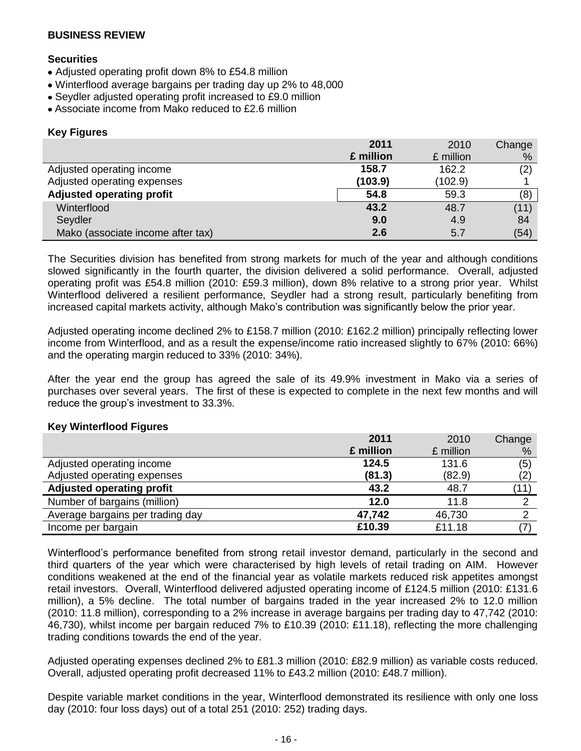#### **Securities**

- Adjusted operating profit down 8% to £54.8 million
- Winterflood average bargains per trading day up 2% to 48,000
- Seydler adjusted operating profit increased to £9.0 million
- Associate income from Mako reduced to £2.6 million

#### **Key Figures**

|                                   | 2011      | 2010      | Change |
|-----------------------------------|-----------|-----------|--------|
|                                   | £ million | £ million | %      |
| Adjusted operating income         | 158.7     | 162.2     | (2)    |
| Adjusted operating expenses       | (103.9)   | (102.9)   |        |
| Adjusted operating profit         | 54.8      | 59.3      | (8)    |
| Winterflood                       | 43.2      | 48.7      | (11)   |
| Seydler                           | 9.0       | 4.9       | 84     |
| Mako (associate income after tax) | 2.6       | 5.7       | (54)   |

The Securities division has benefited from strong markets for much of the year and although conditions slowed significantly in the fourth quarter, the division delivered a solid performance. Overall, adjusted operating profit was £54.8 million (2010: £59.3 million), down 8% relative to a strong prior year. Whilst Winterflood delivered a resilient performance, Seydler had a strong result, particularly benefiting from increased capital markets activity, although Mako's contribution was significantly below the prior year.

Adjusted operating income declined 2% to £158.7 million (2010: £162.2 million) principally reflecting lower income from Winterflood, and as a result the expense/income ratio increased slightly to 67% (2010: 66%) and the operating margin reduced to 33% (2010: 34%).

After the year end the group has agreed the sale of its 49.9% investment in Mako via a series of purchases over several years. The first of these is expected to complete in the next few months and will reduce the group's investment to 33.3%.

#### **Key Winterflood Figures**

|                                  | 2011      | 2010      | Change |
|----------------------------------|-----------|-----------|--------|
|                                  | £ million | £ million | %      |
| Adjusted operating income        | 124.5     | 131.6     | (5)    |
| Adjusted operating expenses      | (81.3)    | (82.9)    | (2)    |
| <b>Adjusted operating profit</b> | 43.2      | 48.7      | (11)   |
| Number of bargains (million)     | 12.0      | 11.8      |        |
| Average bargains per trading day | 47,742    | 46,730    |        |
| Income per bargain               | £10.39    | £11.18    |        |

Winterflood's performance benefited from strong retail investor demand, particularly in the second and third quarters of the year which were characterised by high levels of retail trading on AIM. However conditions weakened at the end of the financial year as volatile markets reduced risk appetites amongst retail investors. Overall, Winterflood delivered adjusted operating income of £124.5 million (2010: £131.6 million), a 5% decline. The total number of bargains traded in the year increased 2% to 12.0 million (2010: 11.8 million), corresponding to a 2% increase in average bargains per trading day to 47,742 (2010: 46,730), whilst income per bargain reduced 7% to £10.39 (2010: £11.18), reflecting the more challenging trading conditions towards the end of the year.

Adjusted operating expenses declined 2% to £81.3 million (2010: £82.9 million) as variable costs reduced. Overall, adjusted operating profit decreased 11% to £43.2 million (2010: £48.7 million).

Despite variable market conditions in the year, Winterflood demonstrated its resilience with only one loss day (2010: four loss days) out of a total 251 (2010: 252) trading days.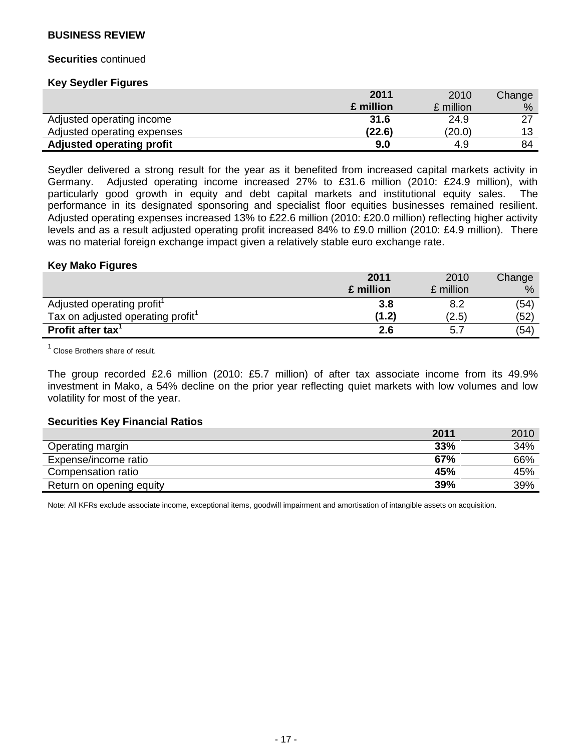#### **Securities** continued

#### **Key Seydler Figures**

|                                  | 2011      | 2010      | Change |
|----------------------------------|-----------|-----------|--------|
|                                  | £ million | £ million | %      |
| Adjusted operating income        | 31.6      | 24.9      | דר     |
| Adjusted operating expenses      | (22.6)    | (20.0)    | 12     |
| <b>Adjusted operating profit</b> | 9.0       | 4.9       | 84     |

Seydler delivered a strong result for the year as it benefited from increased capital markets activity in Germany. Adjusted operating income increased 27% to £31.6 million (2010: £24.9 million), with particularly good growth in equity and debt capital markets and institutional equity sales. The performance in its designated sponsoring and specialist floor equities businesses remained resilient. Adjusted operating expenses increased 13% to £22.6 million (2010: £20.0 million) reflecting higher activity levels and as a result adjusted operating profit increased 84% to £9.0 million (2010: £4.9 million). There was no material foreign exchange impact given a relatively stable euro exchange rate.

#### **Key Mako Figures**

|                                               | 2011      | 2010      | Change |
|-----------------------------------------------|-----------|-----------|--------|
|                                               | £ million | £ million | $\%$   |
| Adjusted operating profit <sup>1</sup>        | 3.8       |           | (54)   |
| Tax on adjusted operating profit <sup>1</sup> | (1.2)     | (2.5)     | (52)   |
| Profit after tax $1$                          | 2.6       | 5.7       | (54)   |

Close Brothers share of result.

The group recorded £2.6 million (2010: £5.7 million) of after tax associate income from its 49.9% investment in Mako, a 54% decline on the prior year reflecting quiet markets with low volumes and low volatility for most of the year.

#### **Securities Key Financial Ratios**

|                          | 2011 | 2010 |
|--------------------------|------|------|
| Operating margin         | 33%  | 34%  |
| Expense/income ratio     | 67%  | 66%  |
| Compensation ratio       | 45%  | 45%  |
| Return on opening equity | 39%  | 39%  |

Note: All KFRs exclude associate income, exceptional items, goodwill impairment and amortisation of intangible assets on acquisition.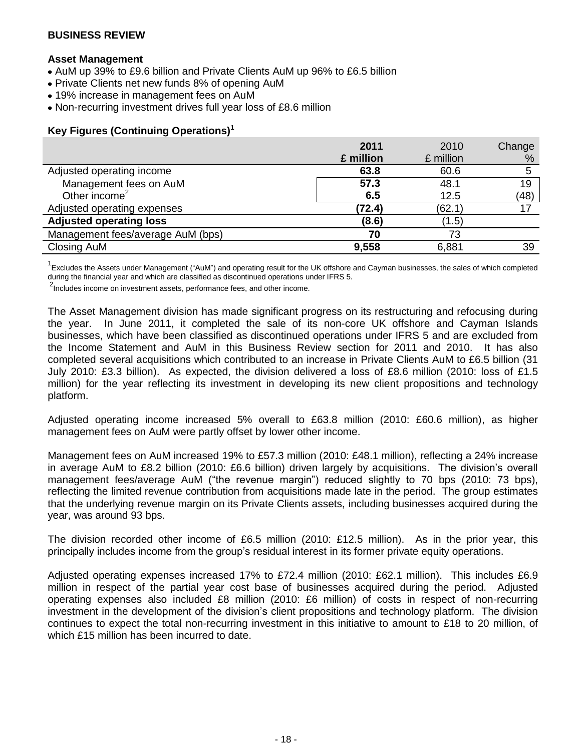#### **Asset Management**

- AuM up 39% to £9.6 billion and Private Clients AuM up 96% to £6.5 billion
- Private Clients net new funds 8% of opening AuM
- 19% increase in management fees on AuM
- Non-recurring investment drives full year loss of £8.6 million

### **Key Figures (Continuing Operations)<sup>1</sup>**

|                                   | 2011      | 2010      | Change |
|-----------------------------------|-----------|-----------|--------|
|                                   | £ million | £ million | %      |
| Adjusted operating income         | 63.8      | 60.6      |        |
| Management fees on AuM            | 57.3      | 48.1      | 19     |
| Other income <sup>2</sup>         | 6.5       | 12.5      | (48)   |
| Adjusted operating expenses       | (72.4)    | (62.1)    | 17     |
| <b>Adjusted operating loss</b>    | (8.6)     | (1.5)     |        |
| Management fees/average AuM (bps) | 70        | 73        |        |
| Closing AuM                       | 9,558     | 6,881     | 39     |

<sup>1</sup> Excludes the Assets under Management ("AuM") and operating result for the UK offshore and Cayman businesses, the sales of which completed during the financial year and which are classified as discontinued operations under IFRS 5.

<sup>2</sup>Includes income on investment assets, performance fees, and other income.

The Asset Management division has made significant progress on its restructuring and refocusing during the year. In June 2011, it completed the sale of its non-core UK offshore and Cayman Islands businesses, which have been classified as discontinued operations under IFRS 5 and are excluded from the Income Statement and AuM in this Business Review section for 2011 and 2010. It has also completed several acquisitions which contributed to an increase in Private Clients AuM to £6.5 billion (31 July 2010: £3.3 billion). As expected, the division delivered a loss of £8.6 million (2010: loss of £1.5 million) for the year reflecting its investment in developing its new client propositions and technology platform.

Adjusted operating income increased 5% overall to £63.8 million (2010: £60.6 million), as higher management fees on AuM were partly offset by lower other income.

Management fees on AuM increased 19% to £57.3 million (2010: £48.1 million), reflecting a 24% increase in average AuM to £8.2 billion (2010: £6.6 billion) driven largely by acquisitions. The division's overall management fees/average AuM ("the revenue margin") reduced slightly to 70 bps (2010: 73 bps), reflecting the limited revenue contribution from acquisitions made late in the period. The group estimates that the underlying revenue margin on its Private Clients assets, including businesses acquired during the year, was around 93 bps.

The division recorded other income of £6.5 million (2010: £12.5 million). As in the prior year, this principally includes income from the group's residual interest in its former private equity operations.

Adjusted operating expenses increased 17% to £72.4 million (2010: £62.1 million). This includes £6.9 million in respect of the partial year cost base of businesses acquired during the period. Adjusted operating expenses also included £8 million (2010: £6 million) of costs in respect of non-recurring investment in the development of the division's client propositions and technology platform. The division continues to expect the total non-recurring investment in this initiative to amount to £18 to 20 million, of which £15 million has been incurred to date.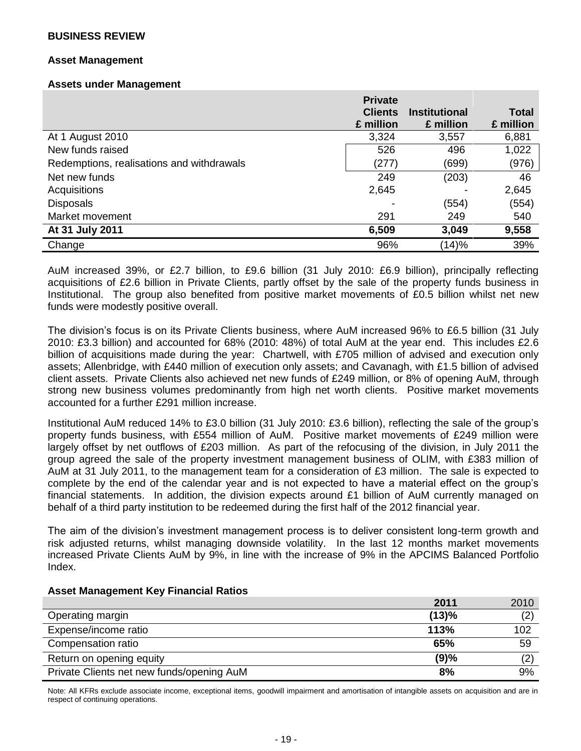#### **Asset Management**

#### **Assets under Management**

|                                           | <b>Private</b> |                      |              |
|-------------------------------------------|----------------|----------------------|--------------|
|                                           | <b>Clients</b> | <b>Institutional</b> | <b>Total</b> |
|                                           | £ million      | £ million            | £ million    |
| At 1 August 2010                          | 3,324          | 3,557                | 6,881        |
| New funds raised                          | 526            | 496                  | 1,022        |
| Redemptions, realisations and withdrawals | (277)          | (699)                | (976)        |
| Net new funds                             | 249            | (203)                | 46           |
| Acquisitions                              | 2,645          |                      | 2,645        |
| <b>Disposals</b>                          |                | (554)                | (554)        |
| Market movement                           | 291            | 249                  | 540          |
| At 31 July 2011                           | 6,509          | 3,049                | 9,558        |
| Change                                    | 96%            | (14)%                | 39%          |

AuM increased 39%, or £2.7 billion, to £9.6 billion (31 July 2010: £6.9 billion), principally reflecting acquisitions of £2.6 billion in Private Clients, partly offset by the sale of the property funds business in Institutional. The group also benefited from positive market movements of £0.5 billion whilst net new funds were modestly positive overall.

The division's focus is on its Private Clients business, where AuM increased 96% to £6.5 billion (31 July 2010: £3.3 billion) and accounted for 68% (2010: 48%) of total AuM at the year end. This includes £2.6 billion of acquisitions made during the year: Chartwell, with £705 million of advised and execution only assets; Allenbridge, with £440 million of execution only assets; and Cavanagh, with £1.5 billion of advised client assets. Private Clients also achieved net new funds of £249 million, or 8% of opening AuM, through strong new business volumes predominantly from high net worth clients. Positive market movements accounted for a further £291 million increase.

Institutional AuM reduced 14% to £3.0 billion (31 July 2010: £3.6 billion), reflecting the sale of the group's property funds business, with £554 million of AuM. Positive market movements of £249 million were largely offset by net outflows of £203 million. As part of the refocusing of the division, in July 2011 the group agreed the sale of the property investment management business of OLIM, with £383 million of AuM at 31 July 2011, to the management team for a consideration of £3 million. The sale is expected to complete by the end of the calendar year and is not expected to have a material effect on the group's financial statements. In addition, the division expects around £1 billion of AuM currently managed on behalf of a third party institution to be redeemed during the first half of the 2012 financial year.

The aim of the division's investment management process is to deliver consistent long-term growth and risk adjusted returns, whilst managing downside volatility. In the last 12 months market movements increased Private Clients AuM by 9%, in line with the increase of 9% in the APCIMS Balanced Portfolio Index.

#### **Asset Management Key Financial Ratios**

|                                           | 2011  | 2010 |
|-------------------------------------------|-------|------|
| Operating margin                          | (13)% | (2)  |
| Expense/income ratio                      | 113%  | 102  |
| Compensation ratio                        | 65%   | 59   |
| Return on opening equity                  | (9)%  | (2)  |
| Private Clients net new funds/opening AuM | 8%    | 9%   |

Note: All KFRs exclude associate income, exceptional items, goodwill impairment and amortisation of intangible assets on acquisition and are in respect of continuing operations.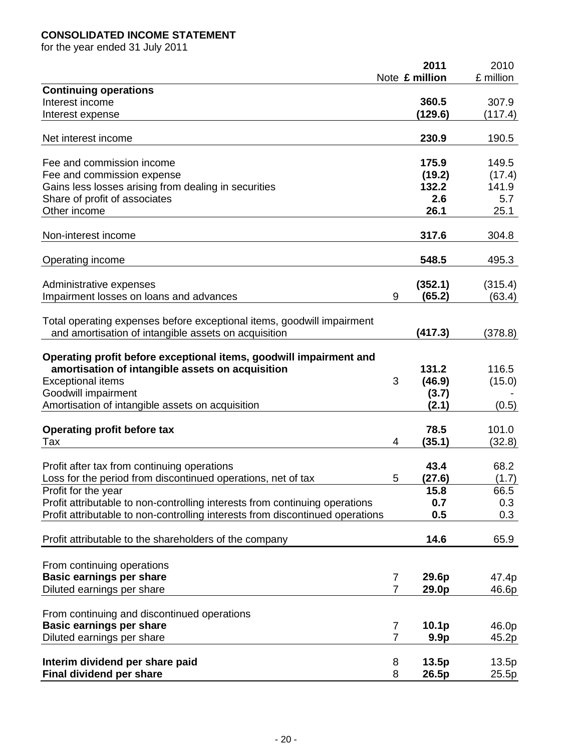# **CONSOLIDATED INCOME STATEMENT**

for the year ended 31 July 2011

|                                                                               |                | 2011              | 2010      |
|-------------------------------------------------------------------------------|----------------|-------------------|-----------|
|                                                                               |                | Note £ million    | £ million |
| <b>Continuing operations</b>                                                  |                |                   |           |
| Interest income                                                               |                | 360.5             | 307.9     |
| Interest expense                                                              |                | (129.6)           | (117.4)   |
| Net interest income                                                           |                | 230.9             | 190.5     |
|                                                                               |                |                   |           |
| Fee and commission income                                                     |                | 175.9             | 149.5     |
| Fee and commission expense                                                    |                | (19.2)            | (17.4)    |
| Gains less losses arising from dealing in securities                          |                | 132.2             | 141.9     |
| Share of profit of associates                                                 |                | 2.6               | 5.7       |
| Other income                                                                  |                | 26.1              | 25.1      |
|                                                                               |                |                   |           |
| Non-interest income                                                           |                | 317.6             | 304.8     |
| Operating income                                                              |                | 548.5             | 495.3     |
| Administrative expenses                                                       |                | (352.1)           | (315.4)   |
| Impairment losses on loans and advances                                       | 9              | (65.2)            | (63.4)    |
|                                                                               |                |                   |           |
| Total operating expenses before exceptional items, goodwill impairment        |                |                   |           |
| and amortisation of intangible assets on acquisition                          |                | (417.3)           | (378.8)   |
|                                                                               |                |                   |           |
| Operating profit before exceptional items, goodwill impairment and            |                |                   |           |
| amortisation of intangible assets on acquisition                              |                | 131.2             | 116.5     |
| <b>Exceptional items</b>                                                      | 3              | (46.9)            | (15.0)    |
| Goodwill impairment                                                           |                | (3.7)             |           |
| Amortisation of intangible assets on acquisition                              |                | (2.1)             | (0.5)     |
|                                                                               |                |                   |           |
| <b>Operating profit before tax</b>                                            |                | 78.5              | 101.0     |
| Tax                                                                           | 4              | (35.1)            | (32.8)    |
| Profit after tax from continuing operations                                   |                | 43.4              | 68.2      |
| Loss for the period from discontinued operations, net of tax                  | 5              | (27.6)            | (1.7)     |
| Profit for the year                                                           |                | 15.8              | 66.5      |
| Profit attributable to non-controlling interests from continuing operations   |                | 0.7               | 0.3       |
| Profit attributable to non-controlling interests from discontinued operations |                | 0.5               | 0.3       |
|                                                                               |                |                   |           |
| Profit attributable to the shareholders of the company                        |                | 14.6              | 65.9      |
|                                                                               |                |                   |           |
| From continuing operations                                                    |                |                   |           |
| <b>Basic earnings per share</b>                                               | $\overline{7}$ | 29.6p             | 47.4p     |
| Diluted earnings per share                                                    | $\overline{7}$ | 29.0p             | 46.6p     |
|                                                                               |                |                   |           |
| From continuing and discontinued operations                                   |                |                   |           |
| <b>Basic earnings per share</b>                                               | $\overline{7}$ | 10.1 <sub>p</sub> | 46.0p     |
| Diluted earnings per share                                                    | $\overline{7}$ | 9.9 <sub>p</sub>  | 45.2p     |
|                                                                               |                |                   |           |
| Interim dividend per share paid                                               | 8              | 13.5p             | 13.5p     |
| Final dividend per share                                                      | 8              | 26.5p             | 25.5p     |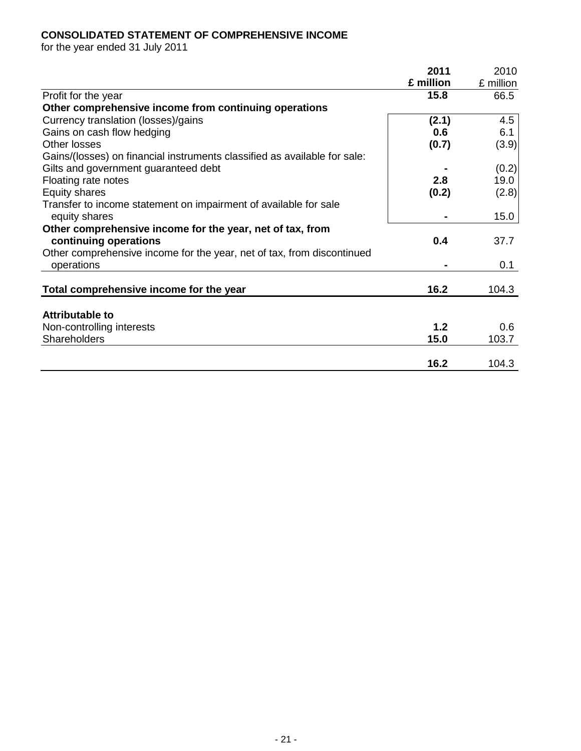# **CONSOLIDATED STATEMENT OF COMPREHENSIVE INCOME**

for the year ended 31 July 2011

| 2011      | 2010                        |
|-----------|-----------------------------|
| £ million | £ million                   |
| 15.8      | 66.5                        |
|           |                             |
| (2.1)     | 4.5                         |
| 0.6       | 6.1                         |
| (0.7)     | (3.9)                       |
|           |                             |
|           | (0.2)                       |
| 2.8       | 19.0                        |
| (0.2)     | (2.8)                       |
|           |                             |
|           | 15.0                        |
|           |                             |
| 0.4       | 37.7                        |
|           |                             |
|           | 0.1                         |
|           |                             |
|           | 104.3                       |
|           |                             |
|           |                             |
|           | 0.6                         |
|           | 103.7                       |
|           | 104.3                       |
|           | 16.2<br>1.2<br>15.0<br>16.2 |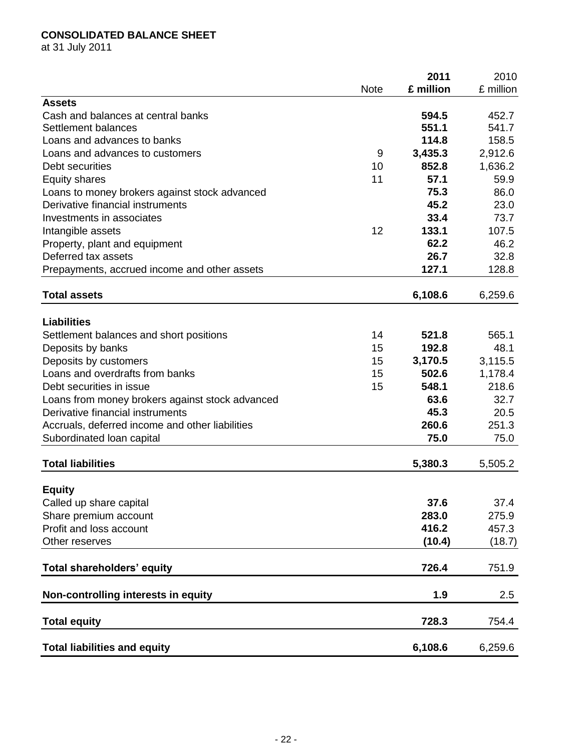# **CONSOLIDATED BALANCE SHEET**

at 31 July 2011

|                                                                                     |             | 2011      | 2010             |
|-------------------------------------------------------------------------------------|-------------|-----------|------------------|
|                                                                                     | <b>Note</b> | £ million | £ million        |
| <b>Assets</b>                                                                       |             |           |                  |
| Cash and balances at central banks                                                  |             | 594.5     | 452.7            |
| Settlement balances                                                                 |             | 551.1     | 541.7            |
| Loans and advances to banks                                                         |             | 114.8     | 158.5            |
| Loans and advances to customers                                                     | 9           | 3,435.3   | 2,912.6          |
| Debt securities                                                                     | 10          | 852.8     | 1,636.2          |
| <b>Equity shares</b>                                                                | 11          | 57.1      | 59.9             |
| Loans to money brokers against stock advanced                                       |             | 75.3      | 86.0             |
| Derivative financial instruments                                                    |             | 45.2      | 23.0             |
| Investments in associates                                                           |             | 33.4      | 73.7             |
| Intangible assets                                                                   | 12          | 133.1     | 107.5            |
| Property, plant and equipment                                                       |             | 62.2      | 46.2             |
| Deferred tax assets                                                                 |             | 26.7      | 32.8             |
| Prepayments, accrued income and other assets                                        |             | 127.1     | 128.8            |
| <b>Total assets</b>                                                                 |             | 6,108.6   | 6,259.6          |
| <b>Liabilities</b>                                                                  |             |           |                  |
| Settlement balances and short positions                                             | 14          | 521.8     | 565.1            |
| Deposits by banks                                                                   | 15          | 192.8     | 48.1             |
| Deposits by customers                                                               | 15          | 3,170.5   | 3,115.5          |
| Loans and overdrafts from banks                                                     | 15          | 502.6     |                  |
| Debt securities in issue                                                            | 15          | 548.1     | 1,178.4<br>218.6 |
|                                                                                     |             | 63.6      | 32.7             |
| Loans from money brokers against stock advanced<br>Derivative financial instruments |             | 45.3      | 20.5             |
|                                                                                     |             | 260.6     | 251.3            |
| Accruals, deferred income and other liabilities<br>Subordinated loan capital        |             | 75.0      | 75.0             |
|                                                                                     |             |           |                  |
| <b>Total liabilities</b>                                                            |             | 5,380.3   | 5,505.2          |
| <b>Equity</b>                                                                       |             |           |                  |
| Called up share capital                                                             |             | 37.6      | 37.4             |
| Share premium account                                                               |             | 283.0     | 275.9            |
| Profit and loss account                                                             |             | 416.2     | 457.3            |
| Other reserves                                                                      |             | (10.4)    | (18.7)           |
| Total shareholders' equity                                                          |             | 726.4     | 751.9            |
| Non-controlling interests in equity                                                 |             | 1.9       | 2.5              |
|                                                                                     |             |           |                  |
| <b>Total equity</b>                                                                 |             | 728.3     | 754.4            |
| <b>Total liabilities and equity</b>                                                 |             | 6,108.6   | 6,259.6          |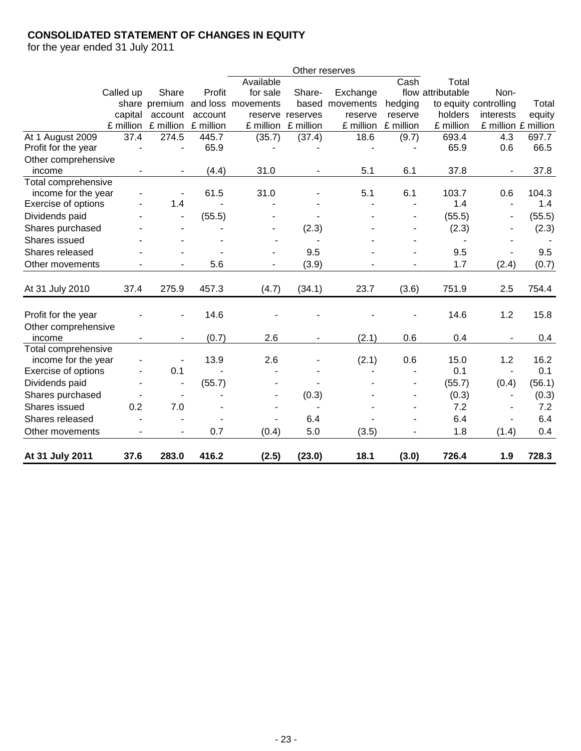# **CONSOLIDATED STATEMENT OF CHANGES IN EQUITY**

for the year ended 31 July 2011

|                               |           |                          |           |                    | Other reserves   |           |           |                   |                          |        |
|-------------------------------|-----------|--------------------------|-----------|--------------------|------------------|-----------|-----------|-------------------|--------------------------|--------|
|                               |           |                          |           | Available          |                  |           | Cash      | Total             |                          |        |
|                               | Called up | Share                    | Profit    | for sale           | Share-           | Exchange  |           | flow attributable | Non-                     |        |
|                               |           | share premium            |           | and loss movements | based            | movements | hedging   |                   | to equity controlling    | Total  |
|                               | capital   | account                  | account   |                    | reserve reserves | reserve   | reserve   | holders           | interests                | equity |
|                               | £ million | £ million                | £ million | £ million          | £ million        | £ million | £ million | £ million         | £ million £ million      |        |
| At 1 August 2009              | 37.4      | 274.5                    | 445.7     | (35.7)             | (37.4)           | 18.6      | (9.7)     | 693.4             | 4.3                      | 697.7  |
| Profit for the year           |           | $\overline{\phantom{a}}$ | 65.9      |                    |                  |           |           | 65.9              | 0.6                      | 66.5   |
| Other comprehensive           |           |                          |           |                    |                  |           |           |                   |                          |        |
| income                        |           |                          | (4.4)     | 31.0               |                  | 5.1       | 6.1       | 37.8              |                          | 37.8   |
| Total comprehensive           |           |                          |           |                    |                  |           |           |                   |                          |        |
| income for the year           |           |                          | 61.5      | 31.0               |                  | 5.1       | 6.1       | 103.7             | 0.6<br>$\sim$            | 104.3  |
| Exercise of options           |           | 1.4                      |           |                    |                  |           |           | 1.4               |                          | 1.4    |
| Dividends paid                |           |                          | (55.5)    |                    |                  |           |           | (55.5)            | $\overline{\phantom{a}}$ | (55.5) |
| Shares purchased              |           |                          |           |                    | (2.3)            |           |           | (2.3)             |                          | (2.3)  |
| Shares issued                 |           |                          |           |                    |                  |           |           |                   |                          |        |
| Shares released               |           |                          |           |                    | 9.5              |           |           | 9.5               |                          | 9.5    |
| Other movements               |           |                          | 5.6       |                    | (3.9)            |           |           | 1.7               | (2.4)                    | (0.7)  |
| At 31 July 2010               | 37.4      | 275.9                    | 457.3     | (4.7)              | (34.1)           | 23.7      | (3.6)     | 751.9             | 2.5                      | 754.4  |
| Profit for the year           |           |                          | 14.6      |                    |                  |           |           | 14.6              | 1.2                      | 15.8   |
| Other comprehensive<br>income |           |                          | (0.7)     | 2.6                |                  | (2.1)     | 0.6       | 0.4               |                          | 0.4    |
| Total comprehensive           |           |                          |           |                    |                  |           |           |                   |                          |        |
| income for the year           |           |                          | 13.9      | 2.6                |                  | (2.1)     | 0.6       | 15.0              | 1.2                      | 16.2   |
| Exercise of options           | ٠         | 0.1                      |           |                    |                  |           |           | 0.1               | $\overline{\phantom{a}}$ | 0.1    |
| Dividends paid                |           |                          | (55.7)    |                    |                  |           |           | (55.7)            | (0.4)                    | (56.1) |
| Shares purchased              |           |                          |           |                    | (0.3)            |           |           | (0.3)             | $\overline{\phantom{a}}$ | (0.3)  |
| Shares issued                 | 0.2       | 7.0                      |           |                    | $\blacksquare$   |           |           | 7.2               | $\blacksquare$           | 7.2    |
| Shares released               |           |                          |           |                    | 6.4              |           |           | 6.4               | $\overline{\phantom{a}}$ | 6.4    |
| Other movements               | ÷,        | $\blacksquare$           | 0.7       | (0.4)              | 5.0              | (3.5)     |           | 1.8               | (1.4)                    | 0.4    |
| At 31 July 2011               | 37.6      | 283.0                    | 416.2     | (2.5)              | (23.0)           | 18.1      | (3.0)     | 726.4             | 1.9                      | 728.3  |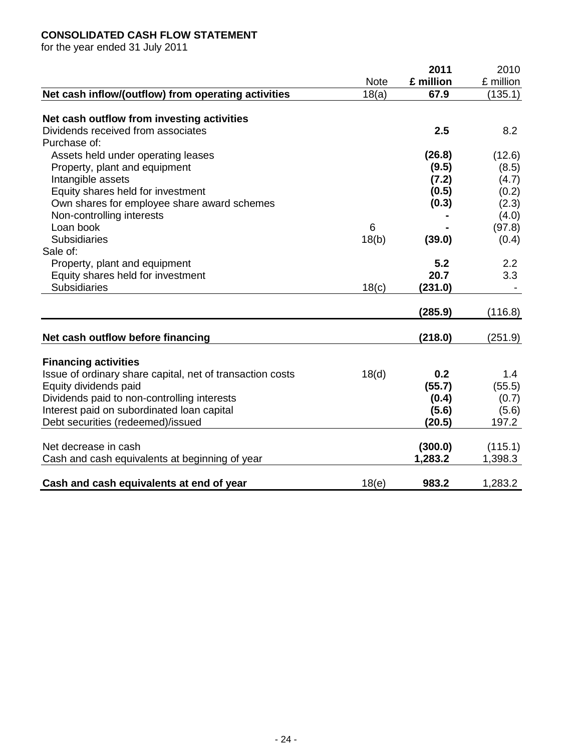# **CONSOLIDATED CASH FLOW STATEMENT**

for the year ended 31 July 2011

|                                                           |             | 2011      | 2010      |
|-----------------------------------------------------------|-------------|-----------|-----------|
|                                                           | <b>Note</b> | £ million | £ million |
| Net cash inflow/(outflow) from operating activities       | 18(a)       | 67.9      | (135.1)   |
|                                                           |             |           |           |
| Net cash outflow from investing activities                |             |           |           |
| Dividends received from associates                        |             | 2.5       | 8.2       |
| Purchase of:                                              |             |           |           |
| Assets held under operating leases                        |             | (26.8)    | (12.6)    |
| Property, plant and equipment                             |             | (9.5)     | (8.5)     |
| Intangible assets                                         |             | (7.2)     | (4.7)     |
| Equity shares held for investment                         |             | (0.5)     | (0.2)     |
| Own shares for employee share award schemes               |             | (0.3)     | (2.3)     |
| Non-controlling interests                                 |             |           | (4.0)     |
| Loan book                                                 | 6           |           | (97.8)    |
| <b>Subsidiaries</b>                                       | 18(b)       | (39.0)    | (0.4)     |
| Sale of:                                                  |             |           |           |
| Property, plant and equipment                             |             | 5.2       | 2.2       |
| Equity shares held for investment                         |             | 20.7      | 3.3       |
| <b>Subsidiaries</b>                                       | 18(c)       | (231.0)   |           |
|                                                           |             |           |           |
|                                                           |             | (285.9)   | (116.8)   |
|                                                           |             |           |           |
| Net cash outflow before financing                         |             | (218.0)   | (251.9)   |
| <b>Financing activities</b>                               |             |           |           |
| Issue of ordinary share capital, net of transaction costs | 18(d)       | 0.2       | 1.4       |
| Equity dividends paid                                     |             | (55.7)    | (55.5)    |
| Dividends paid to non-controlling interests               |             | (0.4)     | (0.7)     |
| Interest paid on subordinated loan capital                |             | (5.6)     | (5.6)     |
| Debt securities (redeemed)/issued                         |             | (20.5)    | 197.2     |
|                                                           |             |           |           |
| Net decrease in cash                                      |             | (300.0)   | (115.1)   |
| Cash and cash equivalents at beginning of year            |             | 1,283.2   | 1,398.3   |
|                                                           |             |           |           |
| Cash and cash equivalents at end of year                  | 18(e)       | 983.2     | 1,283.2   |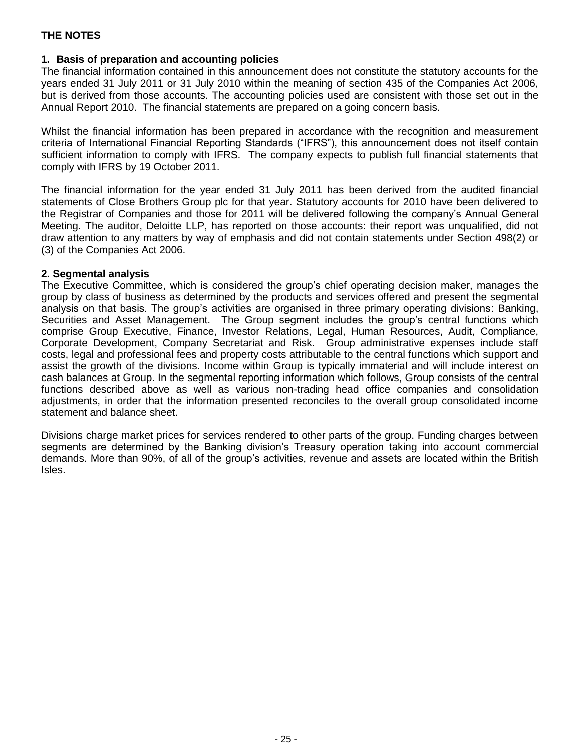#### **1. Basis of preparation and accounting policies**

The financial information contained in this announcement does not constitute the statutory accounts for the years ended 31 July 2011 or 31 July 2010 within the meaning of section 435 of the Companies Act 2006, but is derived from those accounts. The accounting policies used are consistent with those set out in the Annual Report 2010. The financial statements are prepared on a going concern basis.

Whilst the financial information has been prepared in accordance with the recognition and measurement criteria of International Financial Reporting Standards ("IFRS"), this announcement does not itself contain sufficient information to comply with IFRS. The company expects to publish full financial statements that comply with IFRS by 19 October 2011.

The financial information for the year ended 31 July 2011 has been derived from the audited financial statements of Close Brothers Group plc for that year. Statutory accounts for 2010 have been delivered to the Registrar of Companies and those for 2011 will be delivered following the company's Annual General Meeting. The auditor, Deloitte LLP, has reported on those accounts: their report was unqualified, did not draw attention to any matters by way of emphasis and did not contain statements under Section 498(2) or (3) of the Companies Act 2006.

#### **2. Segmental analysis**

The Executive Committee, which is considered the group's chief operating decision maker, manages the group by class of business as determined by the products and services offered and present the segmental analysis on that basis. The group's activities are organised in three primary operating divisions: Banking, Securities and Asset Management. The Group segment includes the group's central functions which comprise Group Executive, Finance, Investor Relations, Legal, Human Resources, Audit, Compliance, Corporate Development, Company Secretariat and Risk. Group administrative expenses include staff costs, legal and professional fees and property costs attributable to the central functions which support and assist the growth of the divisions. Income within Group is typically immaterial and will include interest on cash balances at Group. In the segmental reporting information which follows, Group consists of the central functions described above as well as various non-trading head office companies and consolidation adjustments, in order that the information presented reconciles to the overall group consolidated income statement and balance sheet.

Divisions charge market prices for services rendered to other parts of the group. Funding charges between segments are determined by the Banking division's Treasury operation taking into account commercial demands. More than 90%, of all of the group's activities, revenue and assets are located within the British Isles.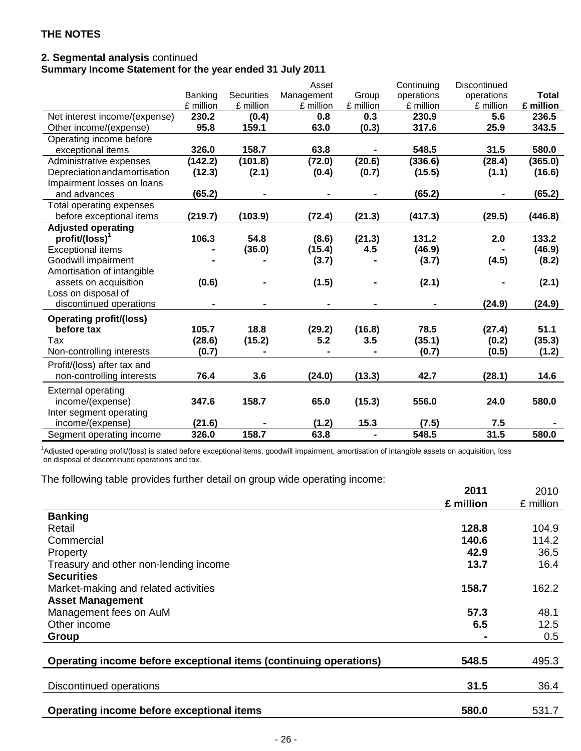# **2. Segmental analysis** continued

# **Summary Income Statement for the year ended 31 July 2011**

|                                |                |                   | Asset          |           | Continuing     | Discontinued |              |
|--------------------------------|----------------|-------------------|----------------|-----------|----------------|--------------|--------------|
|                                | Banking        | <b>Securities</b> | Management     | Group     | operations     | operations   | <b>Total</b> |
|                                | £ million      | £ million         | £ million      | £ million | £ million      | £ million    | £ million    |
| Net interest income/(expense)  | 230.2          | (0.4)             | 0.8            | 0.3       | 230.9          | 5.6          | 236.5        |
| Other income/(expense)         | 95.8           | 159.1             | 63.0           | (0.3)     | 317.6          | 25.9         | 343.5        |
| Operating income before        |                |                   |                |           |                |              |              |
| exceptional items              | 326.0          | 158.7             | 63.8           |           | 548.5          | 31.5         | 580.0        |
| Administrative expenses        | (142.2)        | (101.8)           | (72.0)         | (20.6)    | (336.6)        | (28.4)       | (365.0)      |
| Depreciationandamortisation    | (12.3)         | (2.1)             | (0.4)          | (0.7)     | (15.5)         | (1.1)        | (16.6)       |
| Impairment losses on loans     |                |                   |                |           |                |              |              |
| and advances                   | (65.2)         |                   |                |           | (65.2)         |              | (65.2)       |
| Total operating expenses       |                |                   |                |           |                |              |              |
| before exceptional items       | (219.7)        | (103.9)           | (72.4)         | (21.3)    | (417.3)        | (29.5)       | (446.8)      |
| <b>Adjusted operating</b>      |                |                   |                |           |                |              |              |
| $profit/(loss)^T$              | 106.3          | 54.8              | (8.6)          | (21.3)    | 131.2          | 2.0          | 133.2        |
| <b>Exceptional items</b>       |                | (36.0)            | (15.4)         | 4.5       | (46.9)         |              | (46.9)       |
| Goodwill impairment            |                |                   | (3.7)          |           | (3.7)          | (4.5)        | (8.2)        |
| Amortisation of intangible     |                |                   |                |           |                |              |              |
| assets on acquisition          | (0.6)          |                   | (1.5)          |           | (2.1)          |              | (2.1)        |
| Loss on disposal of            |                |                   |                |           |                |              |              |
| discontinued operations        | $\blacksquare$ | $\blacksquare$    | $\blacksquare$ |           | $\blacksquare$ | (24.9)       | (24.9)       |
| <b>Operating profit/(loss)</b> |                |                   |                |           |                |              |              |
| before tax                     | 105.7          | 18.8              | (29.2)         | (16.8)    | 78.5           | (27.4)       | 51.1         |
| Tax                            | (28.6)         | (15.2)            | 5.2            | 3.5       | (35.1)         | (0.2)        | (35.3)       |
| Non-controlling interests      | (0.7)          |                   |                |           | (0.7)          | (0.5)        | (1.2)        |
| Profit/(loss) after tax and    |                |                   |                |           |                |              |              |
| non-controlling interests      | 76.4           | 3.6               | (24.0)         | (13.3)    | 42.7           | (28.1)       | 14.6         |
| <b>External operating</b>      |                |                   |                |           |                |              |              |
| income/(expense)               | 347.6          | 158.7             | 65.0           | (15.3)    | 556.0          | 24.0         | 580.0        |
| Inter segment operating        |                |                   |                |           |                |              |              |
| income/(expense)               | (21.6)         |                   | (1.2)          | 15.3      | (7.5)          | 7.5          |              |
| Segment operating income       | 326.0          | 158.7             | 63.8           |           | 548.5          | 31.5         | 580.0        |

<sup>1</sup>Adjusted operating profit/(loss) is stated before exceptional items, goodwill impairment, amortisation of intangible assets on acquisition, loss on disposal of discontinued operations and tax.

The following table provides further detail on group wide operating income:

|                                                                   | 2011      | 2010      |
|-------------------------------------------------------------------|-----------|-----------|
|                                                                   | £ million | £ million |
| <b>Banking</b>                                                    |           |           |
| Retail                                                            | 128.8     | 104.9     |
| Commercial                                                        | 140.6     | 114.2     |
| Property                                                          | 42.9      | 36.5      |
| Treasury and other non-lending income                             | 13.7      | 16.4      |
| <b>Securities</b>                                                 |           |           |
| Market-making and related activities                              | 158.7     | 162.2     |
| <b>Asset Management</b>                                           |           |           |
| Management fees on AuM                                            | 57.3      | 48.1      |
| Other income                                                      | 6.5       | 12.5      |
| Group                                                             |           | 0.5       |
|                                                                   |           |           |
| Operating income before exceptional items (continuing operations) | 548.5     | 495.3     |
|                                                                   |           |           |
| Discontinued operations                                           | 31.5      | 36.4      |
|                                                                   |           |           |
| Operating income before exceptional items                         | 580.0     | 531.7     |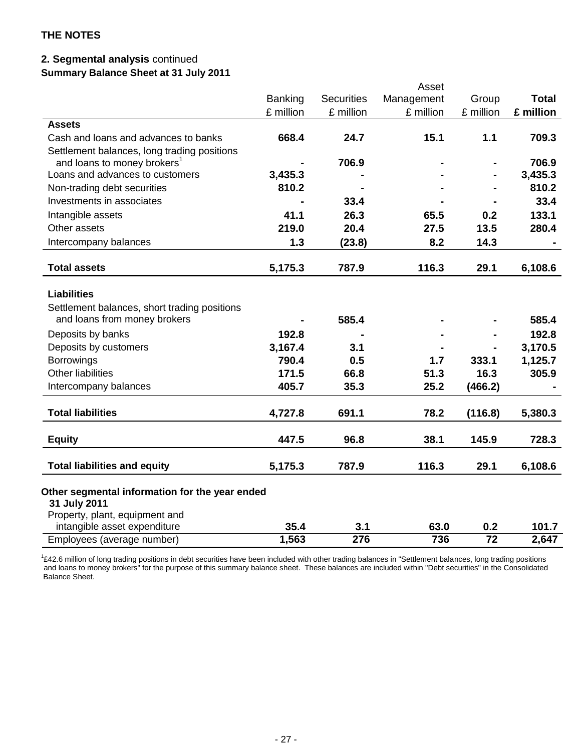# **2. Segmental analysis** continued

**Summary Balance Sheet at 31 July 2011**

|                                                                |           |                   | Asset      |           |              |
|----------------------------------------------------------------|-----------|-------------------|------------|-----------|--------------|
|                                                                | Banking   | <b>Securities</b> | Management | Group     | <b>Total</b> |
|                                                                | £ million | £ million         | £ million  | £ million | £ million    |
| <b>Assets</b>                                                  |           |                   |            |           |              |
| Cash and loans and advances to banks                           | 668.4     | 24.7              | 15.1       | 1.1       | 709.3        |
| Settlement balances, long trading positions                    |           |                   |            |           |              |
| and loans to money brokers <sup>1</sup>                        |           | 706.9             |            |           | 706.9        |
| Loans and advances to customers                                | 3,435.3   |                   |            |           | 3,435.3      |
| Non-trading debt securities                                    | 810.2     |                   |            |           | 810.2        |
| Investments in associates                                      |           | 33.4              |            |           | 33.4         |
| Intangible assets                                              | 41.1      | 26.3              | 65.5       | 0.2       | 133.1        |
| Other assets                                                   | 219.0     | 20.4              | 27.5       | 13.5      | 280.4        |
| Intercompany balances                                          | 1.3       | (23.8)            | 8.2        | 14.3      |              |
| <b>Total assets</b>                                            | 5,175.3   | 787.9             | 116.3      | 29.1      | 6,108.6      |
| <b>Liabilities</b>                                             |           |                   |            |           |              |
| Settlement balances, short trading positions                   |           |                   |            |           |              |
| and loans from money brokers                                   |           | 585.4             |            |           | 585.4        |
| Deposits by banks                                              | 192.8     |                   |            |           | 192.8        |
| Deposits by customers                                          | 3,167.4   | 3.1               |            |           | 3,170.5      |
| <b>Borrowings</b>                                              | 790.4     | 0.5               | 1.7        | 333.1     | 1,125.7      |
| <b>Other liabilities</b>                                       | 171.5     | 66.8              | 51.3       | 16.3      | 305.9        |
| Intercompany balances                                          | 405.7     | 35.3              | 25.2       | (466.2)   |              |
| <b>Total liabilities</b>                                       | 4,727.8   | 691.1             | 78.2       | (116.8)   | 5,380.3      |
| <b>Equity</b>                                                  | 447.5     | 96.8              | 38.1       | 145.9     | 728.3        |
| <b>Total liabilities and equity</b>                            | 5,175.3   | 787.9             | 116.3      | 29.1      | 6,108.6      |
| Other segmental information for the year ended<br>31 July 2011 |           |                   |            |           |              |
| Property, plant, equipment and                                 |           |                   |            |           |              |
| intangible asset expenditure                                   | 35.4      | 3.1               | 63.0       | 0.2       | 101.7        |
| Employees (average number)                                     | 1,563     | 276               | 736        | 72        | 2,647        |
|                                                                |           |                   |            |           |              |

<sup>1</sup>£42.6 million of long trading positions in debt securities have been included with other trading balances in "Settlement balances, long trading positions and loans to money brokers" for the purpose of this summary balance sheet. These balances are included within "Debt securities" in the Consolidated Balance Sheet.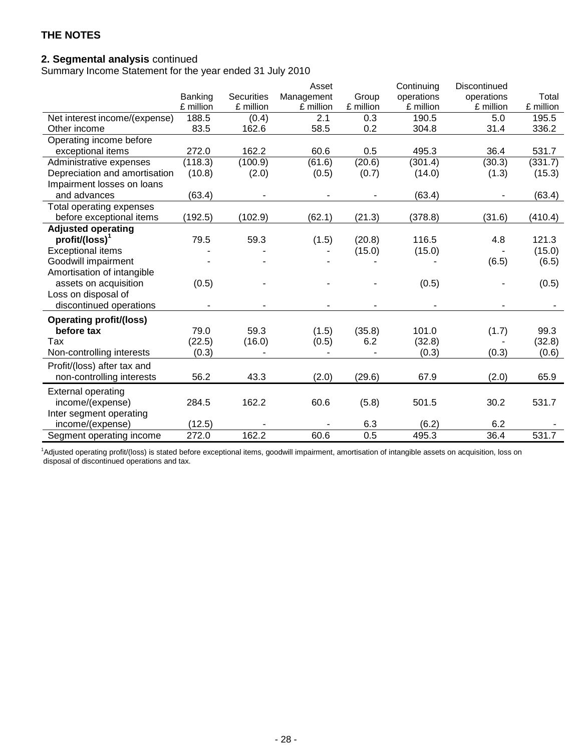### **2. Segmental analysis** continued

Summary Income Statement for the year ended 31 July 2010

|                                |           |                   | Asset      |           | Continuing | Discontinued |           |
|--------------------------------|-----------|-------------------|------------|-----------|------------|--------------|-----------|
|                                | Banking   | <b>Securities</b> | Management | Group     | operations | operations   | Total     |
|                                | £ million | £ million         | £ million  | £ million | £ million  | £ million    | £ million |
| Net interest income/(expense)  | 188.5     | (0.4)             | 2.1        | 0.3       | 190.5      | 5.0          | 195.5     |
| Other income                   | 83.5      | 162.6             | 58.5       | 0.2       | 304.8      | 31.4         | 336.2     |
| Operating income before        |           |                   |            |           |            |              |           |
| exceptional items              | 272.0     | 162.2             | 60.6       | 0.5       | 495.3      | 36.4         | 531.7     |
| Administrative expenses        | (118.3)   | (100.9)           | (61.6)     | (20.6)    | (301.4)    | (30.3)       | (331.7)   |
| Depreciation and amortisation  | (10.8)    | (2.0)             | (0.5)      | (0.7)     | (14.0)     | (1.3)        | (15.3)    |
| Impairment losses on loans     |           |                   |            |           |            |              |           |
| and advances                   | (63.4)    |                   |            |           | (63.4)     |              | (63.4)    |
| Total operating expenses       |           |                   |            |           |            |              |           |
| before exceptional items       | (192.5)   | (102.9)           | (62.1)     | (21.3)    | (378.8)    | (31.6)       | (410.4)   |
| <b>Adjusted operating</b>      |           |                   |            |           |            |              |           |
| $profit/ (loss)^1$             | 79.5      | 59.3              | (1.5)      | (20.8)    | 116.5      | 4.8          | 121.3     |
| <b>Exceptional items</b>       |           |                   |            | (15.0)    | (15.0)     |              | (15.0)    |
| Goodwill impairment            |           |                   |            |           |            | (6.5)        | (6.5)     |
| Amortisation of intangible     |           |                   |            |           |            |              |           |
| assets on acquisition          | (0.5)     |                   |            |           | (0.5)      |              | (0.5)     |
| Loss on disposal of            |           |                   |            |           |            |              |           |
| discontinued operations        |           |                   |            |           |            |              |           |
| <b>Operating profit/(loss)</b> |           |                   |            |           |            |              |           |
| before tax                     | 79.0      | 59.3              | (1.5)      | (35.8)    | 101.0      | (1.7)        | 99.3      |
| Tax                            | (22.5)    | (16.0)            | (0.5)      | 6.2       | (32.8)     |              | (32.8)    |
| Non-controlling interests      | (0.3)     |                   |            |           | (0.3)      | (0.3)        | (0.6)     |
| Profit/(loss) after tax and    |           |                   |            |           |            |              |           |
| non-controlling interests      | 56.2      | 43.3              | (2.0)      | (29.6)    | 67.9       | (2.0)        | 65.9      |
|                                |           |                   |            |           |            |              |           |
| <b>External operating</b>      |           |                   |            |           |            |              |           |
| income/(expense)               | 284.5     | 162.2             | 60.6       | (5.8)     | 501.5      | 30.2         | 531.7     |
| Inter segment operating        |           |                   |            |           |            |              |           |
| income/(expense)               | (12.5)    |                   |            | 6.3       | (6.2)      | 6.2          |           |
| Segment operating income       | 272.0     | 162.2             | 60.6       | 0.5       | 495.3      | 36.4         | 531.7     |

<sup>1</sup>Adjusted operating profit/(loss) is stated before exceptional items, goodwill impairment, amortisation of intangible assets on acquisition, loss on disposal of discontinued operations and tax.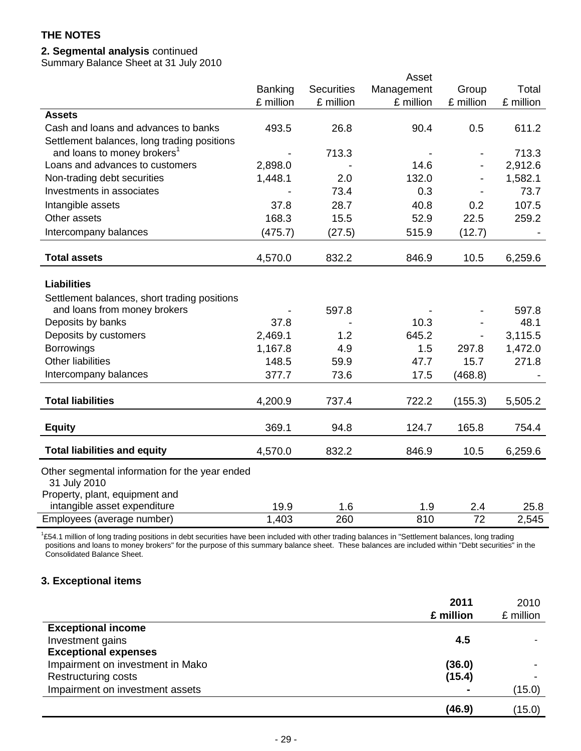# **2. Segmental analysis** continued

Summary Balance Sheet at 31 July 2010

|                                                                |                |                   | Asset      |                        |               |
|----------------------------------------------------------------|----------------|-------------------|------------|------------------------|---------------|
|                                                                | <b>Banking</b> | <b>Securities</b> | Management | Group                  | Total         |
|                                                                | £ million      | £ million         | £ million  | £ million              | £ million     |
| <b>Assets</b>                                                  |                |                   |            |                        |               |
| Cash and loans and advances to banks                           | 493.5          | 26.8              | 90.4       | 0.5                    | 611.2         |
| Settlement balances, long trading positions                    |                |                   |            |                        |               |
| and loans to money brokers <sup>1</sup>                        |                | 713.3             |            |                        | 713.3         |
| Loans and advances to customers                                | 2,898.0        |                   | 14.6       |                        | 2,912.6       |
| Non-trading debt securities                                    | 1,448.1        | 2.0               | 132.0      |                        | 1,582.1       |
| Investments in associates                                      |                | 73.4              | 0.3        |                        | 73.7          |
| Intangible assets                                              | 37.8           | 28.7              | 40.8       | 0.2                    | 107.5         |
| Other assets                                                   | 168.3          | 15.5              | 52.9       | 22.5                   | 259.2         |
| Intercompany balances                                          | (475.7)        | (27.5)            | 515.9      | (12.7)                 |               |
| <b>Total assets</b>                                            | 4,570.0        | 832.2             | 846.9      | 10.5                   | 6,259.6       |
|                                                                |                |                   |            |                        |               |
| <b>Liabilities</b>                                             |                |                   |            |                        |               |
| Settlement balances, short trading positions                   |                |                   |            |                        |               |
| and loans from money brokers                                   |                | 597.8             |            |                        | 597.8         |
| Deposits by banks                                              | 37.8           |                   | 10.3       |                        | 48.1          |
| Deposits by customers                                          | 2,469.1        | 1.2               | 645.2      |                        | 3,115.5       |
| <b>Borrowings</b>                                              | 1,167.8        | 4.9               | 1.5        | 297.8                  | 1,472.0       |
| <b>Other liabilities</b>                                       | 148.5          | 59.9              | 47.7       | 15.7                   | 271.8         |
| Intercompany balances                                          | 377.7          | 73.6              | 17.5       | (468.8)                |               |
| <b>Total liabilities</b>                                       | 4,200.9        | 737.4             | 722.2      | (155.3)                | 5,505.2       |
|                                                                |                |                   |            |                        |               |
| <b>Equity</b>                                                  | 369.1          | 94.8              | 124.7      | 165.8                  | 754.4         |
| <b>Total liabilities and equity</b>                            | 4,570.0        | 832.2             | 846.9      | 10.5                   | 6,259.6       |
| Other segmental information for the year ended                 |                |                   |            |                        |               |
| 31 July 2010                                                   |                |                   |            |                        |               |
| Property, plant, equipment and<br>intangible asset expenditure |                |                   |            |                        |               |
| Employees (average number)                                     | 19.9<br>1,403  | 1.6<br>260        | 1.9<br>810 | 2.4<br>$\overline{72}$ | 25.8<br>2,545 |
|                                                                |                |                   |            |                        |               |

<sup>1</sup>£54.1 million of long trading positions in debt securities have been included with other trading balances in "Settlement balances, long trading positions and loans to money brokers" for the purpose of this summary balance sheet. These balances are included within "Debt securities" in the Consolidated Balance Sheet.

# **3. Exceptional items**

|                                  | 2011      | 2010      |
|----------------------------------|-----------|-----------|
|                                  | £ million | £ million |
| <b>Exceptional income</b>        |           |           |
| Investment gains                 | 4.5       |           |
| <b>Exceptional expenses</b>      |           |           |
| Impairment on investment in Mako | (36.0)    |           |
| Restructuring costs              | (15.4)    |           |
| Impairment on investment assets  |           | (15.0)    |
|                                  | (46.9)    | (15.0)    |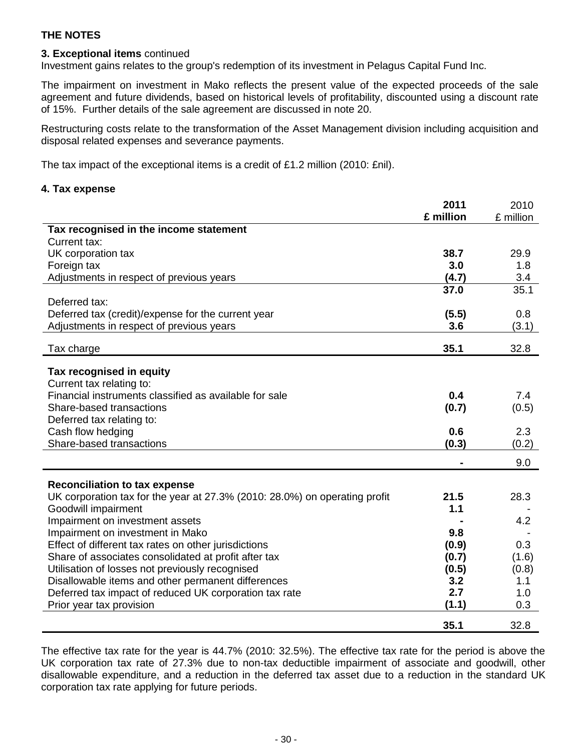# **3. Exceptional items** continued

Investment gains relates to the group's redemption of its investment in Pelagus Capital Fund Inc.

The impairment on investment in Mako reflects the present value of the expected proceeds of the sale agreement and future dividends, based on historical levels of profitability, discounted using a discount rate of 15%. Further details of the sale agreement are discussed in note 20.

Restructuring costs relate to the transformation of the Asset Management division including acquisition and disposal related expenses and severance payments.

The tax impact of the exceptional items is a credit of £1.2 million (2010: £nil).

# **4. Tax expense**

|                                                                            | 2011      | 2010      |
|----------------------------------------------------------------------------|-----------|-----------|
|                                                                            | £ million | £ million |
| Tax recognised in the income statement                                     |           |           |
| Current tax:                                                               |           |           |
| UK corporation tax                                                         | 38.7      | 29.9      |
| Foreign tax                                                                | 3.0       | 1.8       |
| Adjustments in respect of previous years                                   | (4.7)     | 3.4       |
|                                                                            | 37.0      | 35.1      |
| Deferred tax:                                                              |           |           |
| Deferred tax (credit)/expense for the current year                         | (5.5)     | 0.8       |
| Adjustments in respect of previous years                                   | 3.6       | (3.1)     |
|                                                                            |           |           |
| Tax charge                                                                 | 35.1      | 32.8      |
|                                                                            |           |           |
| Tax recognised in equity                                                   |           |           |
| Current tax relating to:                                                   |           |           |
| Financial instruments classified as available for sale                     | 0.4       | 7.4       |
| Share-based transactions                                                   | (0.7)     | (0.5)     |
| Deferred tax relating to:                                                  |           |           |
| Cash flow hedging                                                          | 0.6       | 2.3       |
| Share-based transactions                                                   | (0.3)     | (0.2)     |
|                                                                            |           | 9.0       |
| <b>Reconciliation to tax expense</b>                                       |           |           |
| UK corporation tax for the year at 27.3% (2010: 28.0%) on operating profit | 21.5      | 28.3      |
| Goodwill impairment                                                        | 1.1       |           |
| Impairment on investment assets                                            |           | 4.2       |
| Impairment on investment in Mako                                           | 9.8       |           |
| Effect of different tax rates on other jurisdictions                       | (0.9)     | 0.3       |
| Share of associates consolidated at profit after tax                       | (0.7)     | (1.6)     |
| Utilisation of losses not previously recognised                            | (0.5)     | (0.8)     |
| Disallowable items and other permanent differences                         | 3.2       | 1.1       |
| Deferred tax impact of reduced UK corporation tax rate                     | 2.7       | 1.0       |
| Prior year tax provision                                                   | (1.1)     | 0.3       |
|                                                                            |           |           |
|                                                                            | 35.1      | 32.8      |

The effective tax rate for the year is 44.7% (2010: 32.5%). The effective tax rate for the period is above the UK corporation tax rate of 27.3% due to non-tax deductible impairment of associate and goodwill, other disallowable expenditure, and a reduction in the deferred tax asset due to a reduction in the standard UK corporation tax rate applying for future periods.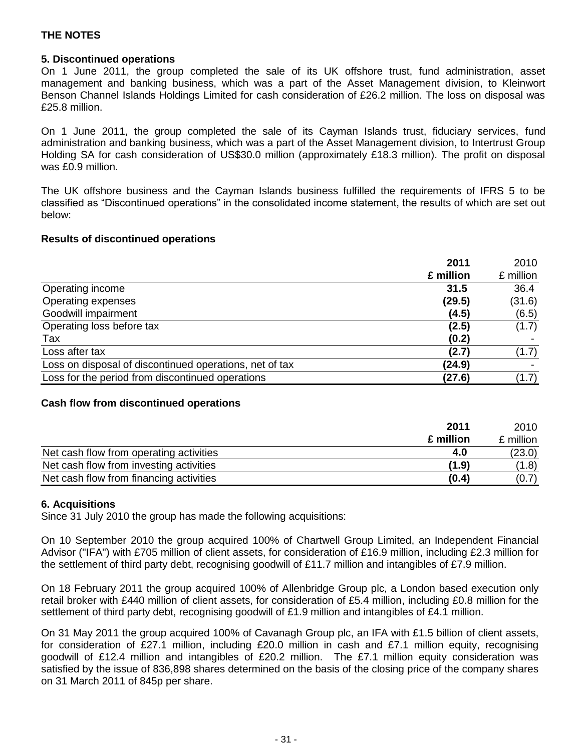#### **5. Discontinued operations**

On 1 June 2011, the group completed the sale of its UK offshore trust, fund administration, asset management and banking business, which was a part of the Asset Management division, to Kleinwort Benson Channel Islands Holdings Limited for cash consideration of £26.2 million. The loss on disposal was £25.8 million.

On 1 June 2011, the group completed the sale of its Cayman Islands trust, fiduciary services, fund administration and banking business, which was a part of the Asset Management division, to Intertrust Group Holding SA for cash consideration of US\$30.0 million (approximately £18.3 million). The profit on disposal was £0.9 million.

The UK offshore business and the Cayman Islands business fulfilled the requirements of IFRS 5 to be classified as "Discontinued operations" in the consolidated income statement, the results of which are set out below:

#### **Results of discontinued operations**

|                                                         | 2011      | 2010      |
|---------------------------------------------------------|-----------|-----------|
|                                                         | £ million | £ million |
| Operating income                                        | 31.5      | 36.4      |
| Operating expenses                                      | (29.5)    | (31.6)    |
| Goodwill impairment                                     | (4.5)     | (6.5)     |
| Operating loss before tax                               | (2.5)     | (1.7)     |
| Tax                                                     | (0.2)     |           |
| Loss after tax                                          | (2.7)     | (1.7)     |
| Loss on disposal of discontinued operations, net of tax | (24.9)    |           |
| Loss for the period from discontinued operations        | (27.6)    | (1.7)     |

#### **Cash flow from discontinued operations**

|                                         | 2011      | 2010      |
|-----------------------------------------|-----------|-----------|
|                                         | £ million | £ million |
| Net cash flow from operating activities | 4.0       | (23.0)    |
| Net cash flow from investing activities | (1.9)     | (1.8)     |
| Net cash flow from financing activities | (0.4)     | (0.7)     |

#### **6. Acquisitions**

Since 31 July 2010 the group has made the following acquisitions:

On 10 September 2010 the group acquired 100% of Chartwell Group Limited, an Independent Financial Advisor ("IFA") with £705 million of client assets, for consideration of £16.9 million, including £2.3 million for the settlement of third party debt, recognising goodwill of £11.7 million and intangibles of £7.9 million.

On 18 February 2011 the group acquired 100% of Allenbridge Group plc, a London based execution only retail broker with £440 million of client assets, for consideration of £5.4 million, including £0.8 million for the settlement of third party debt, recognising goodwill of £1.9 million and intangibles of £4.1 million.

On 31 May 2011 the group acquired 100% of Cavanagh Group plc, an IFA with £1.5 billion of client assets, for consideration of £27.1 million, including £20.0 million in cash and £7.1 million equity, recognising goodwill of £12.4 million and intangibles of £20.2 million. The £7.1 million equity consideration was satisfied by the issue of 836,898 shares determined on the basis of the closing price of the company shares on 31 March 2011 of 845p per share.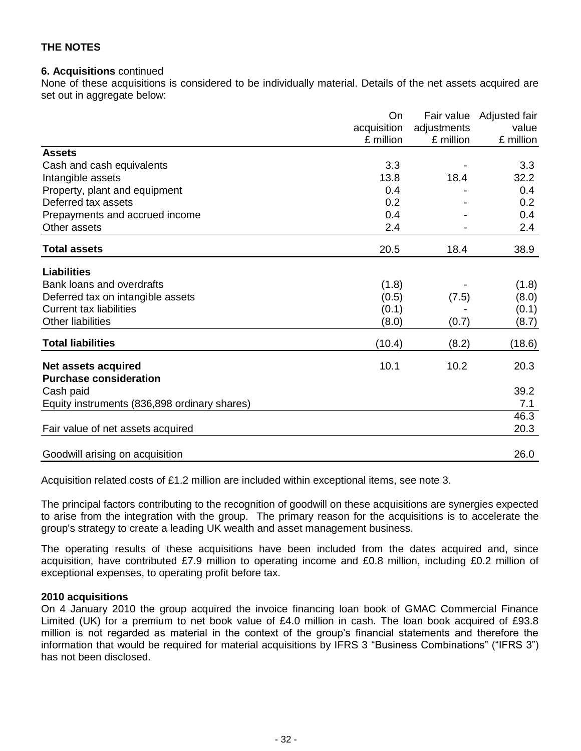#### **6. Acquisitions** continued

None of these acquisitions is considered to be individually material. Details of the net assets acquired are set out in aggregate below:

|                                              | On<br>acquisition<br>£ million | Fair value<br>adjustments<br>£ million | Adjusted fair<br>value<br>£ million |
|----------------------------------------------|--------------------------------|----------------------------------------|-------------------------------------|
| <b>Assets</b>                                |                                |                                        |                                     |
| Cash and cash equivalents                    | 3.3                            |                                        | 3.3                                 |
| Intangible assets                            | 13.8                           | 18.4                                   | 32.2                                |
| Property, plant and equipment                | 0.4                            |                                        | 0.4                                 |
| Deferred tax assets                          | 0.2                            |                                        | 0.2                                 |
| Prepayments and accrued income               | 0.4                            |                                        | 0.4                                 |
| Other assets                                 | 2.4                            |                                        | 2.4                                 |
| <b>Total assets</b>                          | 20.5                           | 18.4                                   | 38.9                                |
| <b>Liabilities</b>                           |                                |                                        |                                     |
| Bank loans and overdrafts                    | (1.8)                          |                                        | (1.8)                               |
| Deferred tax on intangible assets            | (0.5)                          | (7.5)                                  | (8.0)                               |
| <b>Current tax liabilities</b>               | (0.1)                          |                                        | (0.1)                               |
| <b>Other liabilities</b>                     | (8.0)                          | (0.7)                                  | (8.7)                               |
| <b>Total liabilities</b>                     | (10.4)                         | (8.2)                                  | (18.6)                              |
| <b>Net assets acquired</b>                   | 10.1                           | 10.2                                   | 20.3                                |
| <b>Purchase consideration</b>                |                                |                                        |                                     |
| Cash paid                                    |                                |                                        | 39.2                                |
| Equity instruments (836,898 ordinary shares) |                                |                                        | 7.1                                 |
|                                              |                                |                                        | 46.3                                |
| Fair value of net assets acquired            |                                |                                        | 20.3                                |
| Goodwill arising on acquisition              |                                |                                        | 26.0                                |

Acquisition related costs of £1.2 million are included within exceptional items, see note 3.

The principal factors contributing to the recognition of goodwill on these acquisitions are synergies expected to arise from the integration with the group. The primary reason for the acquisitions is to accelerate the group's strategy to create a leading UK wealth and asset management business.

The operating results of these acquisitions have been included from the dates acquired and, since acquisition, have contributed £7.9 million to operating income and £0.8 million, including £0.2 million of exceptional expenses, to operating profit before tax.

#### **2010 acquisitions**

On 4 January 2010 the group acquired the invoice financing loan book of GMAC Commercial Finance Limited (UK) for a premium to net book value of £4.0 million in cash. The loan book acquired of £93.8 million is not regarded as material in the context of the group's financial statements and therefore the information that would be required for material acquisitions by IFRS 3 "Business Combinations" ("IFRS 3") has not been disclosed.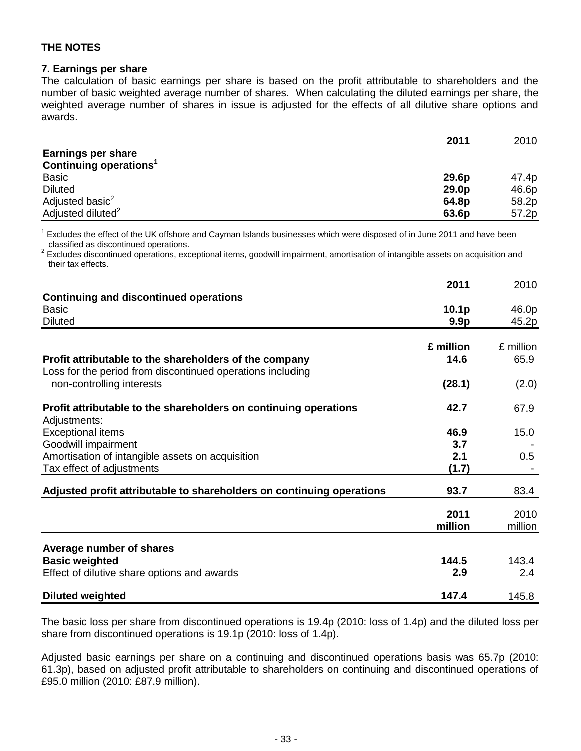#### **7. Earnings per share**

The calculation of basic earnings per share is based on the profit attributable to shareholders and the number of basic weighted average number of shares. When calculating the diluted earnings per share, the weighted average number of shares in issue is adjusted for the effects of all dilutive share options and awards.

|                                    | 2011  | 2010  |
|------------------------------------|-------|-------|
| <b>Earnings per share</b>          |       |       |
| Continuing operations <sup>1</sup> |       |       |
| <b>Basic</b>                       | 29.6p | 47.4p |
| <b>Diluted</b>                     | 29.0p | 46.6p |
| Adjusted basic <sup>2</sup>        | 64.8p | 58.2p |
| Adjusted diluted <sup>2</sup>      | 63.6p | 57.2p |

 $1$  Excludes the effect of the UK offshore and Cayman Islands businesses which were disposed of in June 2011 and have been classified as discontinued operations.

 $2$  Excludes discontinued operations, exceptional items, goodwill impairment, amortisation of intangible assets on acquisition and their tax effects.

|                                                                                  | 2011              | 2010            |
|----------------------------------------------------------------------------------|-------------------|-----------------|
| <b>Continuing and discontinued operations</b>                                    |                   |                 |
| <b>Basic</b>                                                                     | 10.1 <sub>p</sub> | 46.0p           |
| <b>Diluted</b>                                                                   | 9.9 <sub>p</sub>  | 45.2p           |
|                                                                                  | £ million         | £ million       |
| Profit attributable to the shareholders of the company                           | 14.6              | 65.9            |
| Loss for the period from discontinued operations including                       |                   |                 |
| non-controlling interests                                                        | (28.1)            | (2.0)           |
| Profit attributable to the shareholders on continuing operations<br>Adjustments: | 42.7              | 67.9            |
| <b>Exceptional items</b>                                                         | 46.9              | 15.0            |
| Goodwill impairment                                                              | 3.7               |                 |
| Amortisation of intangible assets on acquisition                                 | 2.1               | 0.5             |
| Tax effect of adjustments                                                        | (1.7)             |                 |
| Adjusted profit attributable to shareholders on continuing operations            | 93.7              | 83.4            |
|                                                                                  | 2011<br>million   | 2010<br>million |
| Average number of shares                                                         |                   |                 |
| <b>Basic weighted</b>                                                            | 144.5             | 143.4           |
| Effect of dilutive share options and awards                                      | 2.9               | 2.4             |
| <b>Diluted weighted</b>                                                          | 147.4             | 145.8           |

The basic loss per share from discontinued operations is 19.4p (2010: loss of 1.4p) and the diluted loss per share from discontinued operations is 19.1p (2010: loss of 1.4p).

Adjusted basic earnings per share on a continuing and discontinued operations basis was 65.7p (2010: 61.3p), based on adjusted profit attributable to shareholders on continuing and discontinued operations of £95.0 million (2010: £87.9 million).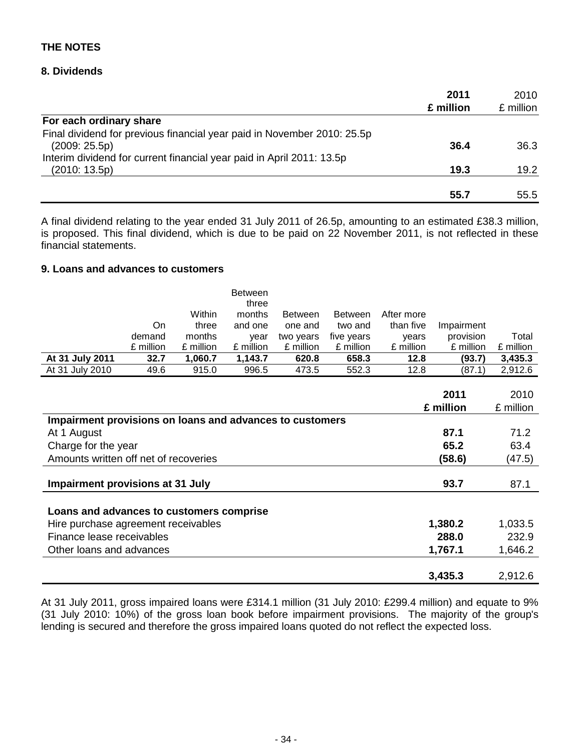#### **8. Dividends**

|                                                                         | 2011      | 2010      |
|-------------------------------------------------------------------------|-----------|-----------|
|                                                                         | £ million | £ million |
| For each ordinary share                                                 |           |           |
| Final dividend for previous financial year paid in November 2010: 25.5p |           |           |
| (2009:25.5p)                                                            | 36.4      | 36.3      |
| Interim dividend for current financial year paid in April 2011: 13.5p   |           |           |
| (2010: 13.5p)                                                           | 19.3      | 19.2      |
|                                                                         | 55.7      | 55.5      |
|                                                                         |           |           |

A final dividend relating to the year ended 31 July 2011 of 26.5p, amounting to an estimated £38.3 million, is proposed. This final dividend, which is due to be paid on 22 November 2011, is not reflected in these financial statements.

#### **9. Loans and advances to customers**

| On                      | Within<br>three | three<br>months<br>and one | <b>Between</b><br>one and | <b>Between</b><br>two and | After more<br>than five | Impairment |           |
|-------------------------|-----------------|----------------------------|---------------------------|---------------------------|-------------------------|------------|-----------|
| demand                  | months          | vear                       | two years                 | five years                | vears                   | provision  | Total     |
| £ million               | £ million       | £ million                  | £ million                 | £ million                 | £ million               | £ million  | £ million |
| At 31 July 2011<br>32.7 | 1,060.7         | 1,143.7                    | 620.8                     | 658.3                     | 12.8                    | (93.7)     | 3,435.3   |
| At 31 July 2010<br>49.6 | 915.0           | 996.5                      | 473.5                     | 552.3                     | 12.8                    | (87.1)     | 2,912.6   |

|                                                          | 2011      | 2010      |
|----------------------------------------------------------|-----------|-----------|
|                                                          | £ million | £ million |
| Impairment provisions on loans and advances to customers |           |           |
| At 1 August                                              | 87.1      | 71.2      |
| Charge for the year                                      | 65.2      | 63.4      |
| Amounts written off net of recoveries                    | (58.6)    | (47.5)    |
| Impairment provisions at 31 July                         | 93.7      | 87.1      |
| Loans and advances to customers comprise                 |           |           |
| Hire purchase agreement receivables                      | 1,380.2   | 1,033.5   |
| Finance lease receivables                                | 288.0     | 232.9     |
| Other loans and advances                                 | 1,767.1   | 1,646.2   |
|                                                          | 3,435.3   | 2,912.6   |

At 31 July 2011, gross impaired loans were £314.1 million (31 July 2010: £299.4 million) and equate to 9% (31 July 2010: 10%) of the gross loan book before impairment provisions. The majority of the group's lending is secured and therefore the gross impaired loans quoted do not reflect the expected loss.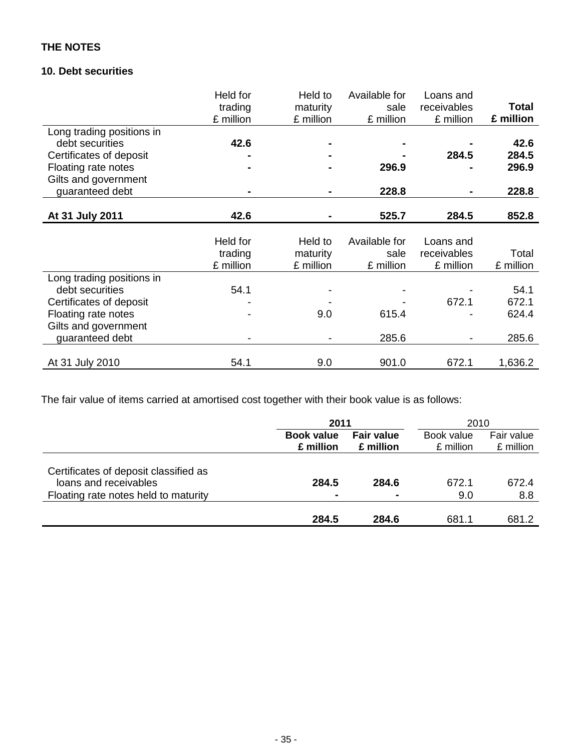# **10. Debt securities**

|                           | Held for  | Held to   | Available for | Loans and   |           |
|---------------------------|-----------|-----------|---------------|-------------|-----------|
|                           | trading   | maturity  | sale          | receivables | Total     |
|                           | £ million | £ million | £ million     | £ million   | £ million |
| Long trading positions in |           |           |               |             |           |
| debt securities           | 42.6      |           |               |             | 42.6      |
| Certificates of deposit   |           |           |               | 284.5       | 284.5     |
| Floating rate notes       |           |           | 296.9         |             | 296.9     |
| Gilts and government      |           |           |               |             |           |
| guaranteed debt           |           |           | 228.8         |             | 228.8     |
|                           |           |           |               |             |           |
| At 31 July 2011           | 42.6      |           | 525.7         | 284.5       | 852.8     |
|                           |           |           |               |             |           |
|                           | Held for  | Held to   | Available for | Loans and   |           |
|                           | trading   | maturity  | sale          | receivables | Total     |
|                           | £ million | £ million | £ million     | £ million   | £ million |
| Long trading positions in |           |           |               |             |           |
| debt securities           | 54.1      |           |               |             | 54.1      |
| Certificates of deposit   |           |           |               | 672.1       | 672.1     |
| Floating rate notes       |           | 9.0       | 615.4         |             | 624.4     |
| Gilts and government      |           |           |               |             |           |
| guaranteed debt           |           |           | 285.6         |             | 285.6     |
|                           |           |           |               |             |           |
| At 31 July 2010           | 54.1      | 9.0       | 901.0         | 672.1       | 1,636.2   |

The fair value of items carried at amortised cost together with their book value is as follows:

|                                                                                                        |                                | 2011                           |                         | 2010                    |
|--------------------------------------------------------------------------------------------------------|--------------------------------|--------------------------------|-------------------------|-------------------------|
|                                                                                                        | <b>Book value</b><br>£ million | <b>Fair value</b><br>£ million | Book value<br>£ million | Fair value<br>£ million |
| Certificates of deposit classified as<br>loans and receivables<br>Floating rate notes held to maturity | 284.5<br>$\blacksquare$        | 284.6<br>$\blacksquare$        | 672.1<br>9.0            | 672.4<br>8.8            |
|                                                                                                        | 284.5                          | 284.6                          | 681.1                   | 681.2                   |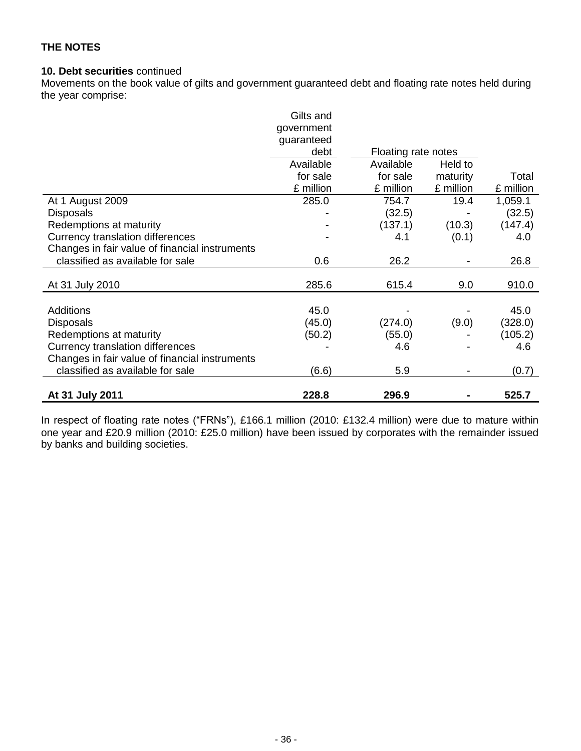#### **10. Debt securities** continued

Movements on the book value of gilts and government guaranteed debt and floating rate notes held during the year comprise:

|                                                | Gilts and  |                     |           |           |
|------------------------------------------------|------------|---------------------|-----------|-----------|
|                                                | government |                     |           |           |
|                                                | guaranteed |                     |           |           |
|                                                | debt       | Floating rate notes |           |           |
|                                                | Available  | Available           | Held to   |           |
|                                                | for sale   | for sale            | maturity  | Total     |
|                                                | £ million  | £ million           | £ million | £ million |
| At 1 August 2009                               | 285.0      | 754.7               | 19.4      | 1,059.1   |
| <b>Disposals</b>                               |            | (32.5)              |           | (32.5)    |
| Redemptions at maturity                        |            | (137.1)             | (10.3)    | (147.4)   |
| <b>Currency translation differences</b>        |            | 4.1                 | (0.1)     | 4.0       |
| Changes in fair value of financial instruments |            |                     |           |           |
| classified as available for sale               | 0.6        | 26.2                |           | 26.8      |
|                                                |            |                     |           |           |
| At 31 July 2010                                | 285.6      | 615.4               | 9.0       | 910.0     |
|                                                |            |                     |           |           |
| Additions                                      | 45.0       |                     |           | 45.0      |
| <b>Disposals</b>                               | (45.0)     | (274.0)             | (9.0)     | (328.0)   |
| Redemptions at maturity                        | (50.2)     | (55.0)              |           | (105.2)   |
| Currency translation differences               |            | 4.6                 |           | 4.6       |
| Changes in fair value of financial instruments |            |                     |           |           |
| classified as available for sale               | (6.6)      | 5.9                 |           | (0.7)     |
|                                                |            |                     |           |           |
| At 31 July 2011                                | 228.8      | 296.9               |           | 525.7     |

In respect of floating rate notes ("FRNs"), £166.1 million (2010: £132.4 million) were due to mature within one year and £20.9 million (2010: £25.0 million) have been issued by corporates with the remainder issued by banks and building societies.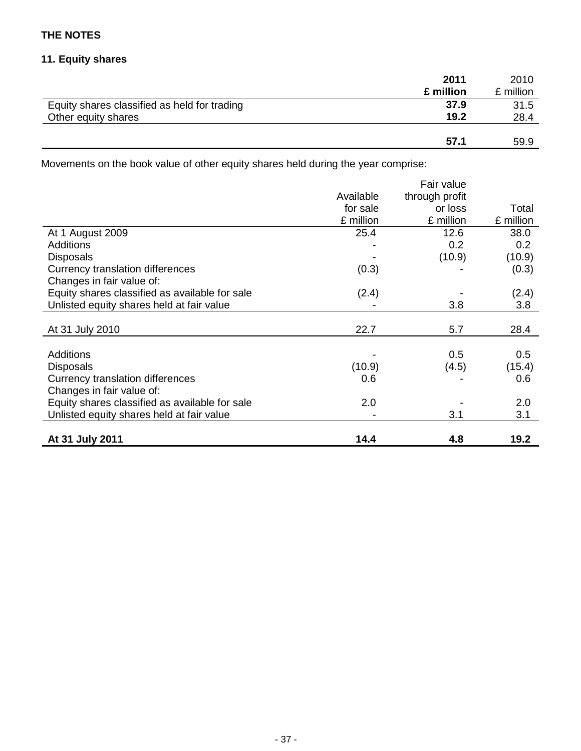# **11. Equity shares**

|                                              | 2011      | 2010      |
|----------------------------------------------|-----------|-----------|
|                                              | £ million | £ million |
| Equity shares classified as held for trading | 37.9      | 31.5      |
| Other equity shares                          | 19.2      | 28.4      |
|                                              |           |           |
|                                              | 57.1      | 59.9      |

Movements on the book value of other equity shares held during the year comprise:

|                                                |           | Fair value     |           |
|------------------------------------------------|-----------|----------------|-----------|
|                                                | Available | through profit |           |
|                                                | for sale  | or loss        | Total     |
|                                                | £ million | £ million      | £ million |
| At 1 August 2009                               | 25.4      | 12.6           | 38.0      |
| Additions                                      |           | 0.2            | 0.2       |
| <b>Disposals</b>                               |           | (10.9)         | (10.9)    |
| Currency translation differences               | (0.3)     |                | (0.3)     |
| Changes in fair value of:                      |           |                |           |
| Equity shares classified as available for sale | (2.4)     |                | (2.4)     |
| Unlisted equity shares held at fair value      |           | 3.8            | 3.8       |
|                                                |           |                |           |
| At 31 July 2010                                | 22.7      | 5.7            | 28.4      |
|                                                |           |                |           |
| <b>Additions</b>                               |           | 0.5            | 0.5       |
| <b>Disposals</b>                               | (10.9)    | (4.5)          | (15.4)    |
| Currency translation differences               | 0.6       |                | 0.6       |
| Changes in fair value of:                      |           |                |           |
| Equity shares classified as available for sale | 2.0       |                | 2.0       |
| Unlisted equity shares held at fair value      |           | 3.1            | 3.1       |
|                                                |           |                |           |
| At 31 July 2011                                | 14.4      | 4.8            | 19.2      |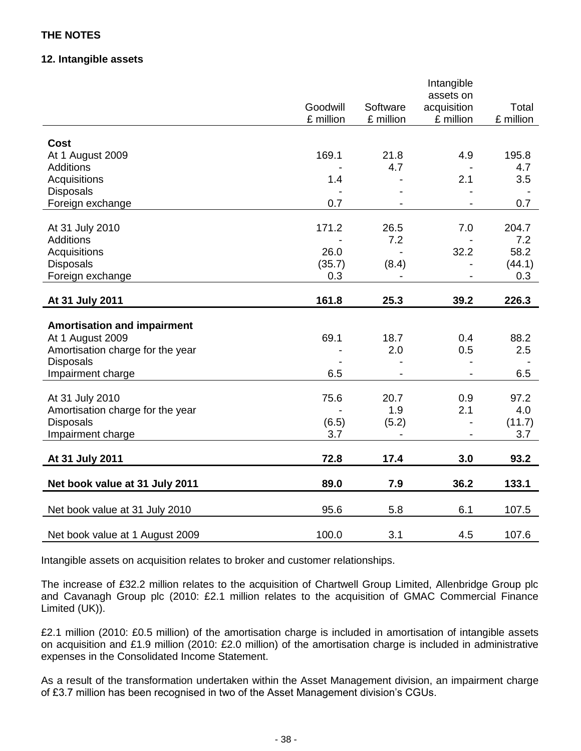#### **12. Intangible assets**

|                                    | Goodwill  | Software  | Intangible<br>assets on<br>acquisition | Total     |
|------------------------------------|-----------|-----------|----------------------------------------|-----------|
|                                    | £ million | £ million | £ million                              | £ million |
| <b>Cost</b>                        |           |           |                                        |           |
| At 1 August 2009                   | 169.1     | 21.8      | 4.9                                    | 195.8     |
| Additions                          |           | 4.7       |                                        | 4.7       |
| Acquisitions                       | 1.4       |           | 2.1                                    | 3.5       |
| <b>Disposals</b>                   |           |           |                                        |           |
| Foreign exchange                   | 0.7       |           |                                        | 0.7       |
|                                    |           |           |                                        |           |
| At 31 July 2010                    | 171.2     | 26.5      | 7.0                                    | 204.7     |
| <b>Additions</b>                   |           | 7.2       | $\overline{a}$                         | 7.2       |
| Acquisitions                       | 26.0      |           | 32.2                                   | 58.2      |
| <b>Disposals</b>                   | (35.7)    | (8.4)     |                                        | (44.1)    |
| Foreign exchange                   | 0.3       |           |                                        | 0.3       |
| At 31 July 2011                    | 161.8     | 25.3      | 39.2                                   | 226.3     |
|                                    |           |           |                                        |           |
| <b>Amortisation and impairment</b> |           |           |                                        |           |
| At 1 August 2009                   | 69.1      | 18.7      | 0.4                                    | 88.2      |
| Amortisation charge for the year   |           | 2.0       | 0.5                                    | 2.5       |
| <b>Disposals</b>                   |           |           |                                        |           |
| Impairment charge                  | 6.5       |           |                                        | 6.5       |
| At 31 July 2010                    | 75.6      | 20.7      | 0.9                                    | 97.2      |
| Amortisation charge for the year   |           | 1.9       | 2.1                                    | 4.0       |
| <b>Disposals</b>                   | (6.5)     | (5.2)     |                                        | (11.7)    |
| Impairment charge                  | 3.7       |           |                                        | 3.7       |
|                                    |           |           |                                        |           |
| At 31 July 2011                    | 72.8      | 17.4      | 3.0                                    | 93.2      |
| Net book value at 31 July 2011     | 89.0      | 7.9       | 36.2                                   | 133.1     |
| Net book value at 31 July 2010     | 95.6      | 5.8       | 6.1                                    | 107.5     |
| Net book value at 1 August 2009    | 100.0     | 3.1       | 4.5                                    | 107.6     |

Intangible assets on acquisition relates to broker and customer relationships.

The increase of £32.2 million relates to the acquisition of Chartwell Group Limited, Allenbridge Group plc and Cavanagh Group plc (2010: £2.1 million relates to the acquisition of GMAC Commercial Finance Limited (UK)).

£2.1 million (2010: £0.5 million) of the amortisation charge is included in amortisation of intangible assets on acquisition and £1.9 million (2010: £2.0 million) of the amortisation charge is included in administrative expenses in the Consolidated Income Statement.

As a result of the transformation undertaken within the Asset Management division, an impairment charge of £3.7 million has been recognised in two of the Asset Management division's CGUs.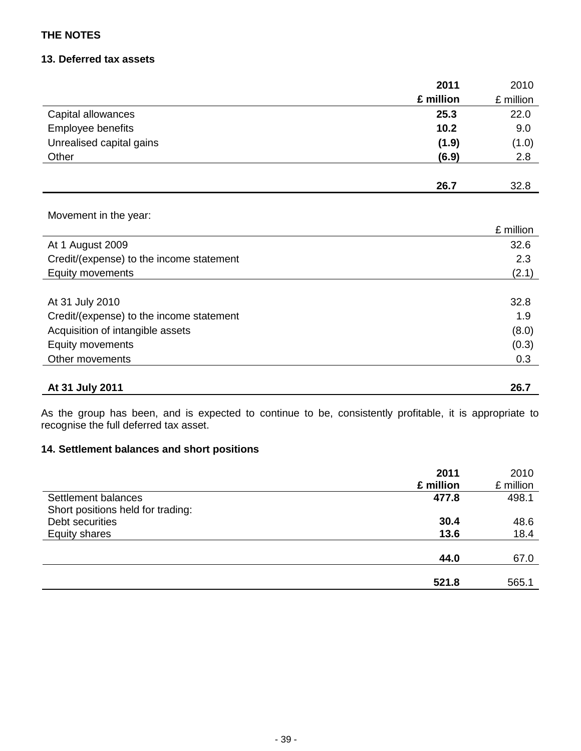### **13. Deferred tax assets**

|                                          | 2011      | 2010      |
|------------------------------------------|-----------|-----------|
|                                          | £ million | £ million |
| Capital allowances                       | 25.3      | 22.0      |
| Employee benefits                        | 10.2      | 9.0       |
| Unrealised capital gains                 | (1.9)     | (1.0)     |
| Other                                    | (6.9)     | 2.8       |
|                                          |           |           |
|                                          | 26.7      | 32.8      |
|                                          |           |           |
| Movement in the year:                    |           |           |
|                                          |           | £ million |
| At 1 August 2009                         |           | 32.6      |
| Credit/(expense) to the income statement |           | 2.3       |
| Equity movements                         |           | (2.1)     |
|                                          |           |           |
| At 31 July 2010                          |           | 32.8      |
| Credit/(expense) to the income statement |           | 1.9       |
| Acquisition of intangible assets         |           | (8.0)     |
| Equity movements                         |           | (0.3)     |
| Other movements                          |           | 0.3       |
|                                          |           |           |
| At 31 July 2011                          |           | 26.7      |

As the group has been, and is expected to continue to be, consistently profitable, it is appropriate to recognise the full deferred tax asset.

# **14. Settlement balances and short positions**

|                                   | 2011      | 2010      |
|-----------------------------------|-----------|-----------|
|                                   | £ million | £ million |
| Settlement balances               | 477.8     | 498.1     |
| Short positions held for trading: |           |           |
| Debt securities                   | 30.4      | 48.6      |
| <b>Equity shares</b>              | 13.6      | 18.4      |
|                                   |           |           |
|                                   | 44.0      | 67.0      |
|                                   |           |           |
|                                   | 521.8     | 565.1     |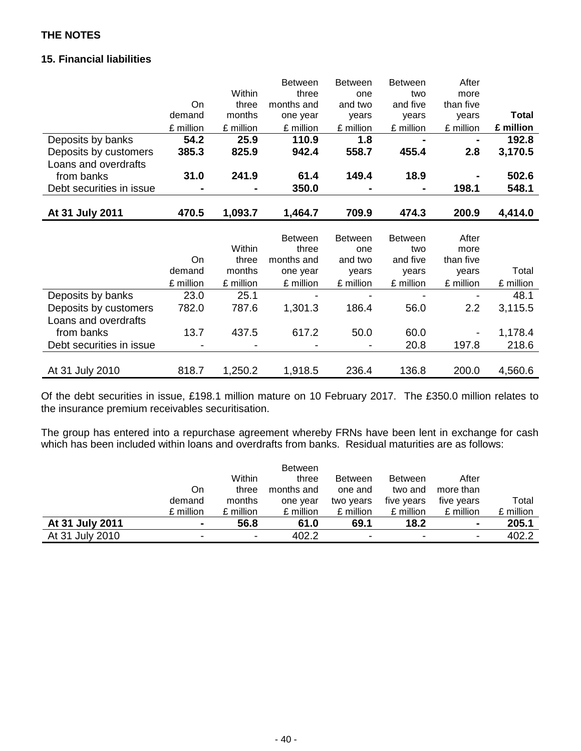# **15. Financial liabilities**

|                          |           |           | <b>Between</b> | <b>Between</b> | <b>Between</b> | After     |              |
|--------------------------|-----------|-----------|----------------|----------------|----------------|-----------|--------------|
|                          |           | Within    | three          | one            | two            | more      |              |
|                          | On        | three     | months and     | and two        | and five       | than five |              |
|                          | demand    | months    | one year       | years          | years          | years     | <b>Total</b> |
|                          | £ million | £ million | £ million      | £ million      | £ million      | £ million | £ million    |
| Deposits by banks        | 54.2      | 25.9      | 110.9          | 1.8            |                |           | 192.8        |
| Deposits by customers    | 385.3     | 825.9     | 942.4          | 558.7          | 455.4          | 2.8       | 3,170.5      |
| Loans and overdrafts     |           |           |                |                |                |           |              |
| from banks               | 31.0      | 241.9     | 61.4           | 149.4          | 18.9           |           | 502.6        |
| Debt securities in issue |           |           | 350.0          |                |                | 198.1     | 548.1        |
|                          |           |           |                |                |                |           |              |
| At 31 July 2011          | 470.5     | 1,093.7   | 1,464.7        | 709.9          | 474.3          | 200.9     | 4,414.0      |
|                          |           |           |                |                |                |           |              |
|                          |           |           | <b>Between</b> | <b>Between</b> | <b>Between</b> | After     |              |
|                          |           | Within    | three          | one            | two            | more      |              |
|                          | On        | three     | months and     | and two        | and five       | than five |              |
|                          | demand    | months    | one year       | years          | years          | years     | Total        |
|                          | £ million | £ million | £ million      | £ million      | £ million      | £ million | £ million    |
| Deposits by banks        | 23.0      | 25.1      |                |                |                |           | 48.1         |
| Deposits by customers    | 782.0     | 787.6     | 1,301.3        | 186.4          | 56.0           | 2.2       | 3,115.5      |
| Loans and overdrafts     |           |           |                |                |                |           |              |
| from banks               | 13.7      | 437.5     | 617.2          | 50.0           | 60.0           |           | 1,178.4      |
| Debt securities in issue |           |           |                |                | 20.8           | 197.8     | 218.6        |
|                          |           |           |                |                |                |           |              |
|                          |           |           |                |                |                |           |              |

Of the debt securities in issue, £198.1 million mature on 10 February 2017. The £350.0 million relates to the insurance premium receivables securitisation.

The group has entered into a repurchase agreement whereby FRNs have been lent in exchange for cash which has been included within loans and overdrafts from banks. Residual maturities are as follows:

|                 |                |                          | <b>Between</b> |                |                |                |           |
|-----------------|----------------|--------------------------|----------------|----------------|----------------|----------------|-----------|
|                 |                | Within                   | three          | <b>Between</b> | <b>Between</b> | After          |           |
|                 | On.            | three                    | months and     | one and        | two and        | more than      |           |
|                 | demand         | months                   | one year       | two years      | five years     | five years     | Total     |
|                 | £ million      | £ million                | £ million      | £ million      | £ million      | £ million      | £ million |
| At 31 July 2011 | $\blacksquare$ | 56.8                     | 61.0           | 69.1           | 18.2           | $\blacksquare$ | 205.1     |
| At 31 July 2010 | -              | $\overline{\phantom{0}}$ | 402.2          | ۰              | $\,$           | $\blacksquare$ | 402.2     |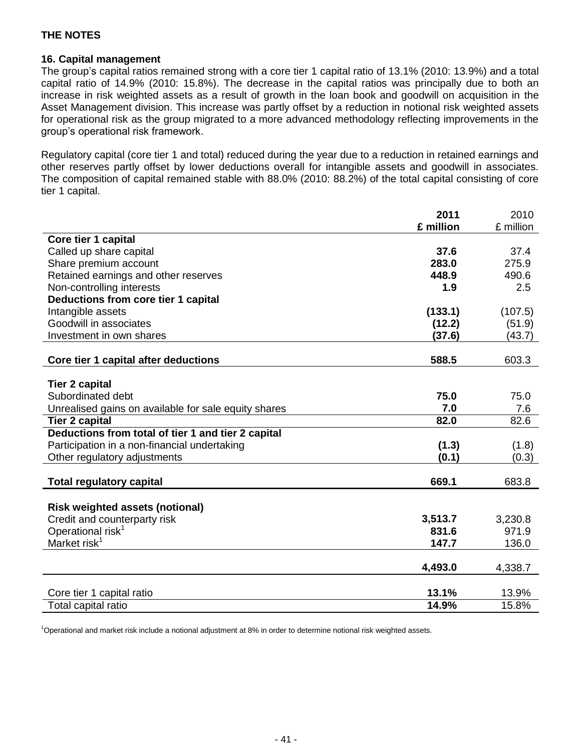#### **16. Capital management**

The group's capital ratios remained strong with a core tier 1 capital ratio of 13.1% (2010: 13.9%) and a total capital ratio of 14.9% (2010: 15.8%). The decrease in the capital ratios was principally due to both an increase in risk weighted assets as a result of growth in the loan book and goodwill on acquisition in the Asset Management division. This increase was partly offset by a reduction in notional risk weighted assets for operational risk as the group migrated to a more advanced methodology reflecting improvements in the group's operational risk framework.

Regulatory capital (core tier 1 and total) reduced during the year due to a reduction in retained earnings and other reserves partly offset by lower deductions overall for intangible assets and goodwill in associates. The composition of capital remained stable with 88.0% (2010: 88.2%) of the total capital consisting of core tier 1 capital.

|                                                      | 2011      | 2010      |
|------------------------------------------------------|-----------|-----------|
|                                                      | £ million | £ million |
| Core tier 1 capital                                  |           |           |
| Called up share capital                              | 37.6      | 37.4      |
| Share premium account                                | 283.0     | 275.9     |
| Retained earnings and other reserves                 | 448.9     | 490.6     |
| Non-controlling interests                            | 1.9       | 2.5       |
| Deductions from core tier 1 capital                  |           |           |
| Intangible assets                                    | (133.1)   | (107.5)   |
| Goodwill in associates                               | (12.2)    | (51.9)    |
| Investment in own shares                             | (37.6)    | (43.7)    |
|                                                      |           |           |
| Core tier 1 capital after deductions                 | 588.5     | 603.3     |
|                                                      |           |           |
| <b>Tier 2 capital</b>                                |           |           |
| Subordinated debt                                    | 75.0      | 75.0      |
| Unrealised gains on available for sale equity shares | 7.0       | 7.6       |
| <b>Tier 2 capital</b>                                | 82.0      | 82.6      |
| Deductions from total of tier 1 and tier 2 capital   |           |           |
| Participation in a non-financial undertaking         | (1.3)     | (1.8)     |
| Other regulatory adjustments                         | (0.1)     | (0.3)     |
|                                                      |           |           |
| <b>Total regulatory capital</b>                      | 669.1     | 683.8     |
|                                                      |           |           |
| <b>Risk weighted assets (notional)</b>               |           |           |
| Credit and counterparty risk                         | 3,513.7   | 3,230.8   |
| Operational risk <sup>1</sup>                        | 831.6     | 971.9     |
| Market risk <sup>1</sup>                             | 147.7     | 136.0     |
|                                                      |           |           |
|                                                      | 4,493.0   | 4,338.7   |
|                                                      |           |           |
| Core tier 1 capital ratio                            | 13.1%     | 13.9%     |
| Total capital ratio                                  | 14.9%     | 15.8%     |

<sup>1</sup>Operational and market risk include a notional adjustment at 8% in order to determine notional risk weighted assets.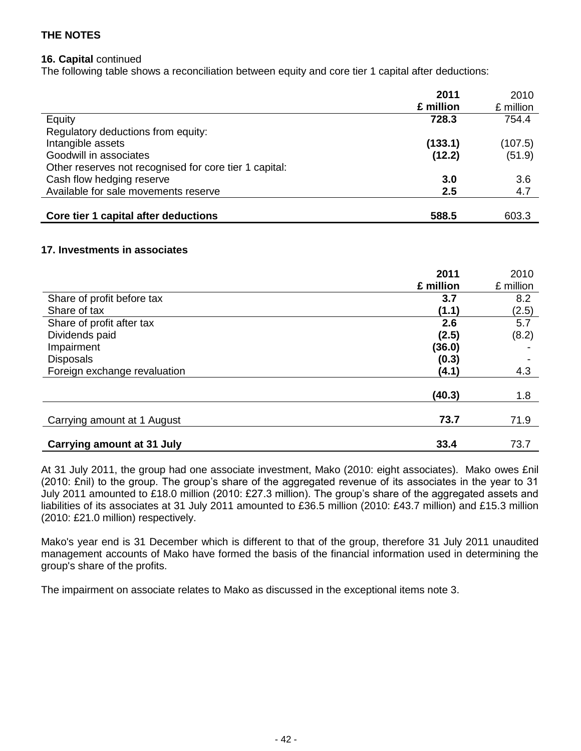#### **16. Capital** continued

The following table shows a reconciliation between equity and core tier 1 capital after deductions:

|                                                        | 2011      | 2010      |
|--------------------------------------------------------|-----------|-----------|
|                                                        | £ million | £ million |
| Equity                                                 | 728.3     | 754.4     |
| Regulatory deductions from equity:                     |           |           |
| Intangible assets                                      | (133.1)   | (107.5)   |
| Goodwill in associates                                 | (12.2)    | (51.9)    |
| Other reserves not recognised for core tier 1 capital: |           |           |
| Cash flow hedging reserve                              | 3.0       | 3.6       |
| Available for sale movements reserve                   | $2.5\,$   | 4.7       |
|                                                        |           |           |
| Core tier 1 capital after deductions                   | 588.5     | 603.3     |

### **17. Investments in associates**

|                                   | 2011      | 2010      |
|-----------------------------------|-----------|-----------|
|                                   | £ million | £ million |
| Share of profit before tax        | 3.7       | 8.2       |
| Share of tax                      | (1.1)     | (2.5)     |
| Share of profit after tax         | 2.6       | 5.7       |
| Dividends paid                    | (2.5)     | (8.2)     |
| Impairment                        | (36.0)    |           |
| <b>Disposals</b>                  | (0.3)     |           |
| Foreign exchange revaluation      | (4.1)     | 4.3       |
|                                   | (40.3)    | 1.8       |
| Carrying amount at 1 August       | 73.7      | 71.9      |
| <b>Carrying amount at 31 July</b> | 33.4      | 73.7      |

At 31 July 2011, the group had one associate investment, Mako (2010: eight associates). Mako owes £nil (2010: £nil) to the group. The group's share of the aggregated revenue of its associates in the year to 31 July 2011 amounted to £18.0 million (2010: £27.3 million). The group's share of the aggregated assets and liabilities of its associates at 31 July 2011 amounted to £36.5 million (2010: £43.7 million) and £15.3 million (2010: £21.0 million) respectively.

Mako's year end is 31 December which is different to that of the group, therefore 31 July 2011 unaudited management accounts of Mako have formed the basis of the financial information used in determining the group's share of the profits.

The impairment on associate relates to Mako as discussed in the exceptional items note 3.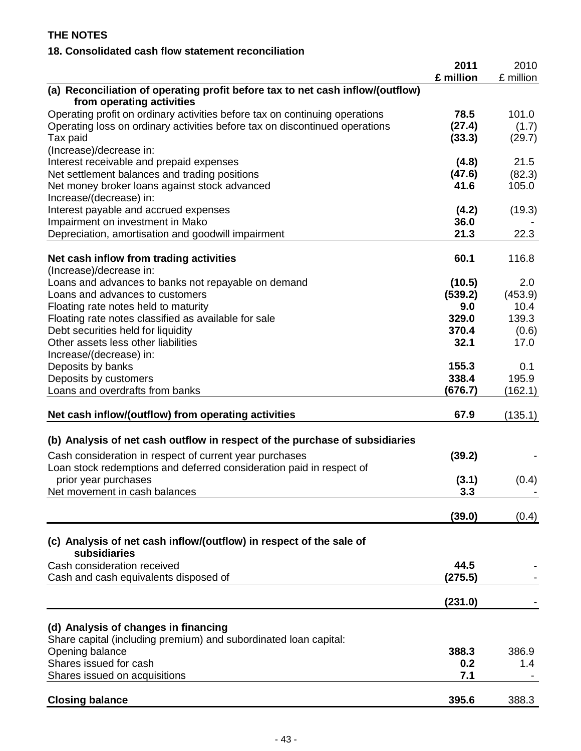# **18. Consolidated cash flow statement reconciliation**

| (a) Reconciliation of operating profit before tax to net cash inflow/(outflow)<br>from operating activities<br>Operating profit on ordinary activities before tax on continuing operations<br>78.5<br>101.0<br>Operating loss on ordinary activities before tax on discontinued operations<br>(27.4)<br>(1.7)<br>Tax paid<br>(33.3)<br>(29.7)<br>(Increase)/decrease in:<br>21.5<br>Interest receivable and prepaid expenses<br>(4.8)<br>Net settlement balances and trading positions<br>(82.3)<br>(47.6)<br>41.6<br>105.0<br>Net money broker loans against stock advanced<br>Increase/(decrease) in:<br>Interest payable and accrued expenses<br>(19.3)<br>(4.2)<br>36.0<br>Impairment on investment in Mako<br>21.3<br>Depreciation, amortisation and goodwill impairment<br>22.3<br>60.1<br>116.8<br>Net cash inflow from trading activities<br>(Increase)/decrease in:<br>Loans and advances to banks not repayable on demand<br>(10.5)<br>2.0<br>(539.2)<br>(453.9)<br>Loans and advances to customers<br>9.0<br>10.4<br>Floating rate notes held to maturity<br>139.3<br>329.0<br>Floating rate notes classified as available for sale<br>370.4<br>Debt securities held for liquidity<br>(0.6)<br>Other assets less other liabilities<br>32.1<br>17.0<br>Increase/(decrease) in:<br>155.3<br>0.1<br>Deposits by banks<br>338.4<br>Deposits by customers<br>195.9<br>Loans and overdrafts from banks<br>(676.7)<br>(162.1)<br>(135.1)<br>Net cash inflow/(outflow) from operating activities<br>67.9<br>(b) Analysis of net cash outflow in respect of the purchase of subsidiaries<br>(39.2)<br>Cash consideration in respect of current year purchases<br>Loan stock redemptions and deferred consideration paid in respect of<br>(3.1)<br>(0.4)<br>prior year purchases<br>3.3<br>Net movement in cash balances<br>(39.0)<br>(0.4)<br>(c) Analysis of net cash inflow/(outflow) in respect of the sale of<br>subsidiaries<br>Cash consideration received<br>44.5<br>(275.5)<br>Cash and cash equivalents disposed of<br>(231.0)<br>(d) Analysis of changes in financing<br>Share capital (including premium) and subordinated loan capital:<br>Opening balance<br>386.9<br>388.3<br>Shares issued for cash<br>0.2<br>1.4<br>Shares issued on acquisitions<br>7.1<br><b>Closing balance</b><br>395.6<br>388.3 | 2011<br>£ million | 2010<br>£ million |
|------------------------------------------------------------------------------------------------------------------------------------------------------------------------------------------------------------------------------------------------------------------------------------------------------------------------------------------------------------------------------------------------------------------------------------------------------------------------------------------------------------------------------------------------------------------------------------------------------------------------------------------------------------------------------------------------------------------------------------------------------------------------------------------------------------------------------------------------------------------------------------------------------------------------------------------------------------------------------------------------------------------------------------------------------------------------------------------------------------------------------------------------------------------------------------------------------------------------------------------------------------------------------------------------------------------------------------------------------------------------------------------------------------------------------------------------------------------------------------------------------------------------------------------------------------------------------------------------------------------------------------------------------------------------------------------------------------------------------------------------------------------------------------------------------------------------------------------------------------------------------------------------------------------------------------------------------------------------------------------------------------------------------------------------------------------------------------------------------------------------------------------------------------------------------------------------------------------------------------------------------------------------------------------------------------------------|-------------------|-------------------|
|                                                                                                                                                                                                                                                                                                                                                                                                                                                                                                                                                                                                                                                                                                                                                                                                                                                                                                                                                                                                                                                                                                                                                                                                                                                                                                                                                                                                                                                                                                                                                                                                                                                                                                                                                                                                                                                                                                                                                                                                                                                                                                                                                                                                                                                                                                                        |                   |                   |
|                                                                                                                                                                                                                                                                                                                                                                                                                                                                                                                                                                                                                                                                                                                                                                                                                                                                                                                                                                                                                                                                                                                                                                                                                                                                                                                                                                                                                                                                                                                                                                                                                                                                                                                                                                                                                                                                                                                                                                                                                                                                                                                                                                                                                                                                                                                        |                   |                   |
|                                                                                                                                                                                                                                                                                                                                                                                                                                                                                                                                                                                                                                                                                                                                                                                                                                                                                                                                                                                                                                                                                                                                                                                                                                                                                                                                                                                                                                                                                                                                                                                                                                                                                                                                                                                                                                                                                                                                                                                                                                                                                                                                                                                                                                                                                                                        |                   |                   |
|                                                                                                                                                                                                                                                                                                                                                                                                                                                                                                                                                                                                                                                                                                                                                                                                                                                                                                                                                                                                                                                                                                                                                                                                                                                                                                                                                                                                                                                                                                                                                                                                                                                                                                                                                                                                                                                                                                                                                                                                                                                                                                                                                                                                                                                                                                                        |                   |                   |
|                                                                                                                                                                                                                                                                                                                                                                                                                                                                                                                                                                                                                                                                                                                                                                                                                                                                                                                                                                                                                                                                                                                                                                                                                                                                                                                                                                                                                                                                                                                                                                                                                                                                                                                                                                                                                                                                                                                                                                                                                                                                                                                                                                                                                                                                                                                        |                   |                   |
|                                                                                                                                                                                                                                                                                                                                                                                                                                                                                                                                                                                                                                                                                                                                                                                                                                                                                                                                                                                                                                                                                                                                                                                                                                                                                                                                                                                                                                                                                                                                                                                                                                                                                                                                                                                                                                                                                                                                                                                                                                                                                                                                                                                                                                                                                                                        |                   |                   |
|                                                                                                                                                                                                                                                                                                                                                                                                                                                                                                                                                                                                                                                                                                                                                                                                                                                                                                                                                                                                                                                                                                                                                                                                                                                                                                                                                                                                                                                                                                                                                                                                                                                                                                                                                                                                                                                                                                                                                                                                                                                                                                                                                                                                                                                                                                                        |                   |                   |
|                                                                                                                                                                                                                                                                                                                                                                                                                                                                                                                                                                                                                                                                                                                                                                                                                                                                                                                                                                                                                                                                                                                                                                                                                                                                                                                                                                                                                                                                                                                                                                                                                                                                                                                                                                                                                                                                                                                                                                                                                                                                                                                                                                                                                                                                                                                        |                   |                   |
|                                                                                                                                                                                                                                                                                                                                                                                                                                                                                                                                                                                                                                                                                                                                                                                                                                                                                                                                                                                                                                                                                                                                                                                                                                                                                                                                                                                                                                                                                                                                                                                                                                                                                                                                                                                                                                                                                                                                                                                                                                                                                                                                                                                                                                                                                                                        |                   |                   |
|                                                                                                                                                                                                                                                                                                                                                                                                                                                                                                                                                                                                                                                                                                                                                                                                                                                                                                                                                                                                                                                                                                                                                                                                                                                                                                                                                                                                                                                                                                                                                                                                                                                                                                                                                                                                                                                                                                                                                                                                                                                                                                                                                                                                                                                                                                                        |                   |                   |
|                                                                                                                                                                                                                                                                                                                                                                                                                                                                                                                                                                                                                                                                                                                                                                                                                                                                                                                                                                                                                                                                                                                                                                                                                                                                                                                                                                                                                                                                                                                                                                                                                                                                                                                                                                                                                                                                                                                                                                                                                                                                                                                                                                                                                                                                                                                        |                   |                   |
|                                                                                                                                                                                                                                                                                                                                                                                                                                                                                                                                                                                                                                                                                                                                                                                                                                                                                                                                                                                                                                                                                                                                                                                                                                                                                                                                                                                                                                                                                                                                                                                                                                                                                                                                                                                                                                                                                                                                                                                                                                                                                                                                                                                                                                                                                                                        |                   |                   |
|                                                                                                                                                                                                                                                                                                                                                                                                                                                                                                                                                                                                                                                                                                                                                                                                                                                                                                                                                                                                                                                                                                                                                                                                                                                                                                                                                                                                                                                                                                                                                                                                                                                                                                                                                                                                                                                                                                                                                                                                                                                                                                                                                                                                                                                                                                                        |                   |                   |
|                                                                                                                                                                                                                                                                                                                                                                                                                                                                                                                                                                                                                                                                                                                                                                                                                                                                                                                                                                                                                                                                                                                                                                                                                                                                                                                                                                                                                                                                                                                                                                                                                                                                                                                                                                                                                                                                                                                                                                                                                                                                                                                                                                                                                                                                                                                        |                   |                   |
|                                                                                                                                                                                                                                                                                                                                                                                                                                                                                                                                                                                                                                                                                                                                                                                                                                                                                                                                                                                                                                                                                                                                                                                                                                                                                                                                                                                                                                                                                                                                                                                                                                                                                                                                                                                                                                                                                                                                                                                                                                                                                                                                                                                                                                                                                                                        |                   |                   |
|                                                                                                                                                                                                                                                                                                                                                                                                                                                                                                                                                                                                                                                                                                                                                                                                                                                                                                                                                                                                                                                                                                                                                                                                                                                                                                                                                                                                                                                                                                                                                                                                                                                                                                                                                                                                                                                                                                                                                                                                                                                                                                                                                                                                                                                                                                                        |                   |                   |
|                                                                                                                                                                                                                                                                                                                                                                                                                                                                                                                                                                                                                                                                                                                                                                                                                                                                                                                                                                                                                                                                                                                                                                                                                                                                                                                                                                                                                                                                                                                                                                                                                                                                                                                                                                                                                                                                                                                                                                                                                                                                                                                                                                                                                                                                                                                        |                   |                   |
|                                                                                                                                                                                                                                                                                                                                                                                                                                                                                                                                                                                                                                                                                                                                                                                                                                                                                                                                                                                                                                                                                                                                                                                                                                                                                                                                                                                                                                                                                                                                                                                                                                                                                                                                                                                                                                                                                                                                                                                                                                                                                                                                                                                                                                                                                                                        |                   |                   |
|                                                                                                                                                                                                                                                                                                                                                                                                                                                                                                                                                                                                                                                                                                                                                                                                                                                                                                                                                                                                                                                                                                                                                                                                                                                                                                                                                                                                                                                                                                                                                                                                                                                                                                                                                                                                                                                                                                                                                                                                                                                                                                                                                                                                                                                                                                                        |                   |                   |
|                                                                                                                                                                                                                                                                                                                                                                                                                                                                                                                                                                                                                                                                                                                                                                                                                                                                                                                                                                                                                                                                                                                                                                                                                                                                                                                                                                                                                                                                                                                                                                                                                                                                                                                                                                                                                                                                                                                                                                                                                                                                                                                                                                                                                                                                                                                        |                   |                   |
|                                                                                                                                                                                                                                                                                                                                                                                                                                                                                                                                                                                                                                                                                                                                                                                                                                                                                                                                                                                                                                                                                                                                                                                                                                                                                                                                                                                                                                                                                                                                                                                                                                                                                                                                                                                                                                                                                                                                                                                                                                                                                                                                                                                                                                                                                                                        |                   |                   |
|                                                                                                                                                                                                                                                                                                                                                                                                                                                                                                                                                                                                                                                                                                                                                                                                                                                                                                                                                                                                                                                                                                                                                                                                                                                                                                                                                                                                                                                                                                                                                                                                                                                                                                                                                                                                                                                                                                                                                                                                                                                                                                                                                                                                                                                                                                                        |                   |                   |
|                                                                                                                                                                                                                                                                                                                                                                                                                                                                                                                                                                                                                                                                                                                                                                                                                                                                                                                                                                                                                                                                                                                                                                                                                                                                                                                                                                                                                                                                                                                                                                                                                                                                                                                                                                                                                                                                                                                                                                                                                                                                                                                                                                                                                                                                                                                        |                   |                   |
|                                                                                                                                                                                                                                                                                                                                                                                                                                                                                                                                                                                                                                                                                                                                                                                                                                                                                                                                                                                                                                                                                                                                                                                                                                                                                                                                                                                                                                                                                                                                                                                                                                                                                                                                                                                                                                                                                                                                                                                                                                                                                                                                                                                                                                                                                                                        |                   |                   |
|                                                                                                                                                                                                                                                                                                                                                                                                                                                                                                                                                                                                                                                                                                                                                                                                                                                                                                                                                                                                                                                                                                                                                                                                                                                                                                                                                                                                                                                                                                                                                                                                                                                                                                                                                                                                                                                                                                                                                                                                                                                                                                                                                                                                                                                                                                                        |                   |                   |
|                                                                                                                                                                                                                                                                                                                                                                                                                                                                                                                                                                                                                                                                                                                                                                                                                                                                                                                                                                                                                                                                                                                                                                                                                                                                                                                                                                                                                                                                                                                                                                                                                                                                                                                                                                                                                                                                                                                                                                                                                                                                                                                                                                                                                                                                                                                        |                   |                   |
|                                                                                                                                                                                                                                                                                                                                                                                                                                                                                                                                                                                                                                                                                                                                                                                                                                                                                                                                                                                                                                                                                                                                                                                                                                                                                                                                                                                                                                                                                                                                                                                                                                                                                                                                                                                                                                                                                                                                                                                                                                                                                                                                                                                                                                                                                                                        |                   |                   |
|                                                                                                                                                                                                                                                                                                                                                                                                                                                                                                                                                                                                                                                                                                                                                                                                                                                                                                                                                                                                                                                                                                                                                                                                                                                                                                                                                                                                                                                                                                                                                                                                                                                                                                                                                                                                                                                                                                                                                                                                                                                                                                                                                                                                                                                                                                                        |                   |                   |
|                                                                                                                                                                                                                                                                                                                                                                                                                                                                                                                                                                                                                                                                                                                                                                                                                                                                                                                                                                                                                                                                                                                                                                                                                                                                                                                                                                                                                                                                                                                                                                                                                                                                                                                                                                                                                                                                                                                                                                                                                                                                                                                                                                                                                                                                                                                        |                   |                   |
|                                                                                                                                                                                                                                                                                                                                                                                                                                                                                                                                                                                                                                                                                                                                                                                                                                                                                                                                                                                                                                                                                                                                                                                                                                                                                                                                                                                                                                                                                                                                                                                                                                                                                                                                                                                                                                                                                                                                                                                                                                                                                                                                                                                                                                                                                                                        |                   |                   |
|                                                                                                                                                                                                                                                                                                                                                                                                                                                                                                                                                                                                                                                                                                                                                                                                                                                                                                                                                                                                                                                                                                                                                                                                                                                                                                                                                                                                                                                                                                                                                                                                                                                                                                                                                                                                                                                                                                                                                                                                                                                                                                                                                                                                                                                                                                                        |                   |                   |
|                                                                                                                                                                                                                                                                                                                                                                                                                                                                                                                                                                                                                                                                                                                                                                                                                                                                                                                                                                                                                                                                                                                                                                                                                                                                                                                                                                                                                                                                                                                                                                                                                                                                                                                                                                                                                                                                                                                                                                                                                                                                                                                                                                                                                                                                                                                        |                   |                   |
|                                                                                                                                                                                                                                                                                                                                                                                                                                                                                                                                                                                                                                                                                                                                                                                                                                                                                                                                                                                                                                                                                                                                                                                                                                                                                                                                                                                                                                                                                                                                                                                                                                                                                                                                                                                                                                                                                                                                                                                                                                                                                                                                                                                                                                                                                                                        |                   |                   |
|                                                                                                                                                                                                                                                                                                                                                                                                                                                                                                                                                                                                                                                                                                                                                                                                                                                                                                                                                                                                                                                                                                                                                                                                                                                                                                                                                                                                                                                                                                                                                                                                                                                                                                                                                                                                                                                                                                                                                                                                                                                                                                                                                                                                                                                                                                                        |                   |                   |
|                                                                                                                                                                                                                                                                                                                                                                                                                                                                                                                                                                                                                                                                                                                                                                                                                                                                                                                                                                                                                                                                                                                                                                                                                                                                                                                                                                                                                                                                                                                                                                                                                                                                                                                                                                                                                                                                                                                                                                                                                                                                                                                                                                                                                                                                                                                        |                   |                   |
|                                                                                                                                                                                                                                                                                                                                                                                                                                                                                                                                                                                                                                                                                                                                                                                                                                                                                                                                                                                                                                                                                                                                                                                                                                                                                                                                                                                                                                                                                                                                                                                                                                                                                                                                                                                                                                                                                                                                                                                                                                                                                                                                                                                                                                                                                                                        |                   |                   |
|                                                                                                                                                                                                                                                                                                                                                                                                                                                                                                                                                                                                                                                                                                                                                                                                                                                                                                                                                                                                                                                                                                                                                                                                                                                                                                                                                                                                                                                                                                                                                                                                                                                                                                                                                                                                                                                                                                                                                                                                                                                                                                                                                                                                                                                                                                                        |                   |                   |
|                                                                                                                                                                                                                                                                                                                                                                                                                                                                                                                                                                                                                                                                                                                                                                                                                                                                                                                                                                                                                                                                                                                                                                                                                                                                                                                                                                                                                                                                                                                                                                                                                                                                                                                                                                                                                                                                                                                                                                                                                                                                                                                                                                                                                                                                                                                        |                   |                   |
|                                                                                                                                                                                                                                                                                                                                                                                                                                                                                                                                                                                                                                                                                                                                                                                                                                                                                                                                                                                                                                                                                                                                                                                                                                                                                                                                                                                                                                                                                                                                                                                                                                                                                                                                                                                                                                                                                                                                                                                                                                                                                                                                                                                                                                                                                                                        |                   |                   |
|                                                                                                                                                                                                                                                                                                                                                                                                                                                                                                                                                                                                                                                                                                                                                                                                                                                                                                                                                                                                                                                                                                                                                                                                                                                                                                                                                                                                                                                                                                                                                                                                                                                                                                                                                                                                                                                                                                                                                                                                                                                                                                                                                                                                                                                                                                                        |                   |                   |
|                                                                                                                                                                                                                                                                                                                                                                                                                                                                                                                                                                                                                                                                                                                                                                                                                                                                                                                                                                                                                                                                                                                                                                                                                                                                                                                                                                                                                                                                                                                                                                                                                                                                                                                                                                                                                                                                                                                                                                                                                                                                                                                                                                                                                                                                                                                        |                   |                   |
|                                                                                                                                                                                                                                                                                                                                                                                                                                                                                                                                                                                                                                                                                                                                                                                                                                                                                                                                                                                                                                                                                                                                                                                                                                                                                                                                                                                                                                                                                                                                                                                                                                                                                                                                                                                                                                                                                                                                                                                                                                                                                                                                                                                                                                                                                                                        |                   |                   |
|                                                                                                                                                                                                                                                                                                                                                                                                                                                                                                                                                                                                                                                                                                                                                                                                                                                                                                                                                                                                                                                                                                                                                                                                                                                                                                                                                                                                                                                                                                                                                                                                                                                                                                                                                                                                                                                                                                                                                                                                                                                                                                                                                                                                                                                                                                                        |                   |                   |
|                                                                                                                                                                                                                                                                                                                                                                                                                                                                                                                                                                                                                                                                                                                                                                                                                                                                                                                                                                                                                                                                                                                                                                                                                                                                                                                                                                                                                                                                                                                                                                                                                                                                                                                                                                                                                                                                                                                                                                                                                                                                                                                                                                                                                                                                                                                        |                   |                   |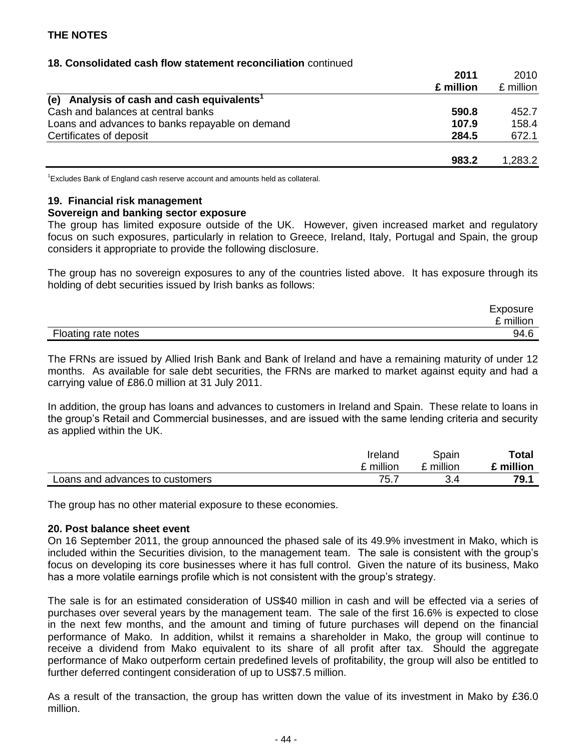#### **18. Consolidated cash flow statement reconciliation** continued

|                                                           | 2011      | 2010      |
|-----------------------------------------------------------|-----------|-----------|
|                                                           | £ million | £ million |
| Analysis of cash and cash equivalents <sup>1</sup><br>(e) |           |           |
| Cash and balances at central banks                        | 590.8     | 452.7     |
| Loans and advances to banks repayable on demand           | 107.9     | 158.4     |
| Certificates of deposit                                   | 284.5     | 672.1     |
|                                                           | 983.2     | 1,283.2   |

 $1$ Excludes Bank of England cash reserve account and amounts held as collateral.

#### **19. Financial risk management**

#### **Sovereign and banking sector exposure**

The group has limited exposure outside of the UK. However, given increased market and regulatory focus on such exposures, particularly in relation to Greece, Ireland, Italy, Portugal and Spain, the group considers it appropriate to provide the following disclosure.

The group has no sovereign exposures to any of the countries listed above. It has exposure through its holding of debt securities issued by Irish banks as follows:

|                     | Exposure  |
|---------------------|-----------|
|                     | £ million |
| Floating rate notes | 94.6      |

The FRNs are issued by Allied Irish Bank and Bank of Ireland and have a remaining maturity of under 12 months. As available for sale debt securities, the FRNs are marked to market against equity and had a carrying value of £86.0 million at 31 July 2011.

In addition, the group has loans and advances to customers in Ireland and Spain. These relate to loans in the group's Retail and Commercial businesses, and are issued with the same lending criteria and security as applied within the UK.

|                                 | Ireland   | Spain     | Total     |
|---------------------------------|-----------|-----------|-----------|
|                                 | £ million | £ million | £ million |
| Loans and advances to customers | 75.7      |           | 79.1      |

The group has no other material exposure to these economies.

#### **20. Post balance sheet event**

On 16 September 2011, the group announced the phased sale of its 49.9% investment in Mako, which is included within the Securities division, to the management team. The sale is consistent with the group's focus on developing its core businesses where it has full control. Given the nature of its business, Mako has a more volatile earnings profile which is not consistent with the group's strategy.

The sale is for an estimated consideration of US\$40 million in cash and will be effected via a series of purchases over several years by the management team. The sale of the first 16.6% is expected to close in the next few months, and the amount and timing of future purchases will depend on the financial performance of Mako. In addition, whilst it remains a shareholder in Mako, the group will continue to receive a dividend from Mako equivalent to its share of all profit after tax. Should the aggregate performance of Mako outperform certain predefined levels of profitability, the group will also be entitled to further deferred contingent consideration of up to US\$7.5 million.

As a result of the transaction, the group has written down the value of its investment in Mako by £36.0 million.